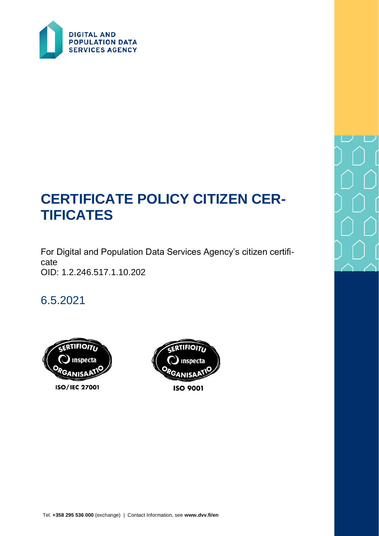

# **CERTIFICATE POLICY CITIZEN CER-TIFICATES**

For Digital and Population Data Services Agency's citizen certificate OID: 1.2.246.517.1.10.202

6.5.2021





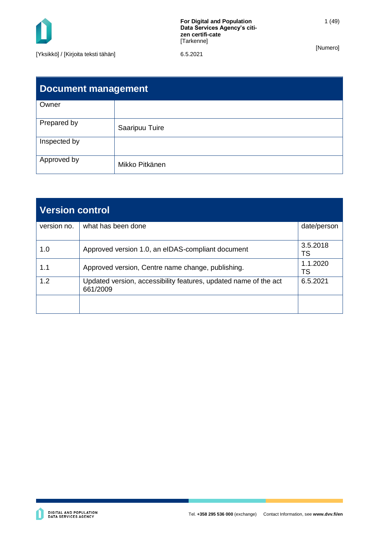

| Document management |                |  |
|---------------------|----------------|--|
| Owner               |                |  |
| Prepared by         | Saaripuu Tuire |  |
| Inspected by        |                |  |
| Approved by         | Mikko Pitkänen |  |

| <b>Version control</b> |                                                                              |                |
|------------------------|------------------------------------------------------------------------------|----------------|
| version no.            | what has been done                                                           | date/person    |
| 1.0                    | Approved version 1.0, an eIDAS-compliant document                            | 3.5.2018<br>TS |
| 1.1                    | Approved version, Centre name change, publishing.                            | 1.1.2020<br>TS |
| 1.2                    | Updated version, accessibility features, updated name of the act<br>661/2009 | 6.5.2021       |
|                        |                                                                              |                |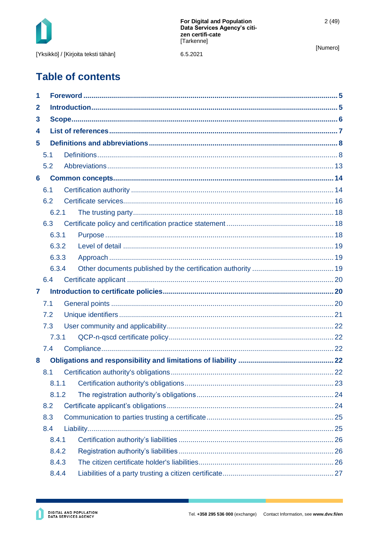6.5.2021

[Numero]

## **Table of contents**

| 1              |       |  |  |  |
|----------------|-------|--|--|--|
| 2              |       |  |  |  |
| 3              |       |  |  |  |
| 4              |       |  |  |  |
| 5              |       |  |  |  |
|                | 5.1   |  |  |  |
|                | 5.2   |  |  |  |
| 6              |       |  |  |  |
|                | 6.1   |  |  |  |
|                | 6.2   |  |  |  |
|                | 6.2.1 |  |  |  |
|                | 6.3   |  |  |  |
|                | 6.3.1 |  |  |  |
|                | 6.3.2 |  |  |  |
|                | 6.3.3 |  |  |  |
|                | 6.3.4 |  |  |  |
|                | 6.4   |  |  |  |
| $\overline{7}$ |       |  |  |  |
|                | 7.1   |  |  |  |
|                | 7.2   |  |  |  |
| 7.3            |       |  |  |  |
|                |       |  |  |  |
|                | 7.3.1 |  |  |  |
|                | 7.4   |  |  |  |
| 8              |       |  |  |  |
|                | 8.1   |  |  |  |
|                | 8.1.1 |  |  |  |
|                | 8.1.2 |  |  |  |
|                | 8.2   |  |  |  |
|                | 8.3   |  |  |  |
|                | 8.4   |  |  |  |
|                | 8.4.1 |  |  |  |
|                | 8.4.2 |  |  |  |
|                | 8.4.3 |  |  |  |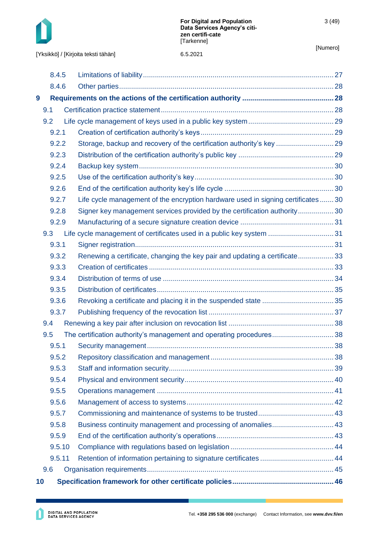

[Yksikkö] / [Kirjoita teksti tähän] 6.5.2021

|    | 8.4.5  |                                                                                 |  |
|----|--------|---------------------------------------------------------------------------------|--|
|    | 8.4.6  |                                                                                 |  |
| 9  |        |                                                                                 |  |
|    | 9.1    |                                                                                 |  |
|    | 9.2    |                                                                                 |  |
|    | 9.2.1  |                                                                                 |  |
|    | 9.2.2  |                                                                                 |  |
|    | 9.2.3  |                                                                                 |  |
|    | 9.2.4  |                                                                                 |  |
|    | 9.2.5  |                                                                                 |  |
|    | 9.2.6  |                                                                                 |  |
|    | 9.2.7  | Life cycle management of the encryption hardware used in signing certificates30 |  |
|    | 9.2.8  | Signer key management services provided by the certification authority30        |  |
|    | 9.2.9  |                                                                                 |  |
|    | 9.3    |                                                                                 |  |
|    | 9.3.1  |                                                                                 |  |
|    | 9.3.2  | Renewing a certificate, changing the key pair and updating a certificate 33     |  |
|    | 9.3.3  |                                                                                 |  |
|    | 9.3.4  |                                                                                 |  |
|    | 9.3.5  |                                                                                 |  |
|    | 9.3.6  |                                                                                 |  |
|    | 9.3.7  |                                                                                 |  |
|    | 9.4    |                                                                                 |  |
|    | 9.5    | The certification authority's management and operating procedures38             |  |
|    | 9.5.1  |                                                                                 |  |
|    | 9.5.2  |                                                                                 |  |
|    | 9.5.3  |                                                                                 |  |
|    | 9.5.4  |                                                                                 |  |
|    | 9.5.5  |                                                                                 |  |
|    | 9.5.6  |                                                                                 |  |
|    | 9.5.7  |                                                                                 |  |
|    | 9.5.8  | Business continuity management and processing of anomalies 43                   |  |
|    | 9.5.9  |                                                                                 |  |
|    | 9.5.10 |                                                                                 |  |
|    | 9.5.11 |                                                                                 |  |
|    | 9.6    |                                                                                 |  |
| 10 |        |                                                                                 |  |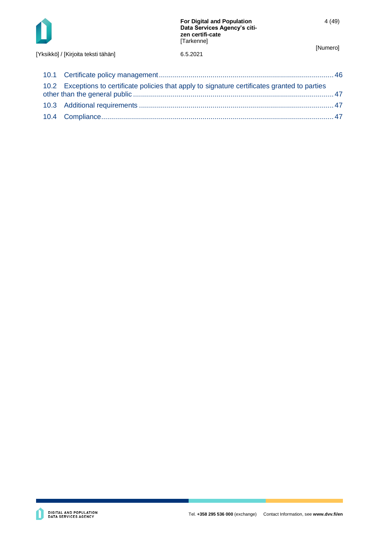

[Yksikkö] / [Kirjoita teksti tähän] 6.5.2021

| 10.2 Exceptions to certificate policies that apply to signature certificates granted to parties |  |
|-------------------------------------------------------------------------------------------------|--|
|                                                                                                 |  |
|                                                                                                 |  |
|                                                                                                 |  |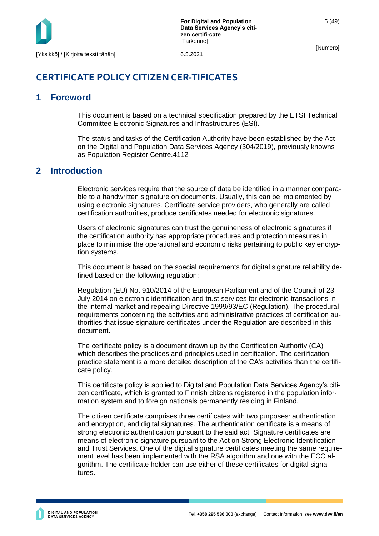

## **CERTIFICATE POLICY CITIZEN CER-TIFICATES**

### <span id="page-5-0"></span>**1 Foreword**

This document is based on a technical specification prepared by the ETSI Technical Committee Electronic Signatures and Infrastructures (ESI).

The status and tasks of the Certification Authority have been established by the Act on the Digital and Population Data Services Agency (304/2019), previously knowns as Population Register Centre.4112

### <span id="page-5-1"></span>**2 Introduction**

Electronic services require that the source of data be identified in a manner comparable to a handwritten signature on documents. Usually, this can be implemented by using electronic signatures. Certificate service providers, who generally are called certification authorities, produce certificates needed for electronic signatures.

Users of electronic signatures can trust the genuineness of electronic signatures if the certification authority has appropriate procedures and protection measures in place to minimise the operational and economic risks pertaining to public key encryption systems.

This document is based on the special requirements for digital signature reliability defined based on the following regulation:

Regulation (EU) No. 910/2014 of the European Parliament and of the Council of 23 July 2014 on electronic identification and trust services for electronic transactions in the internal market and repealing Directive 1999/93/EC (Regulation). The procedural requirements concerning the activities and administrative practices of certification authorities that issue signature certificates under the Regulation are described in this document.

The certificate policy is a document drawn up by the Certification Authority (CA) which describes the practices and principles used in certification. The certification practice statement is a more detailed description of the CA's activities than the certificate policy.

This certificate policy is applied to Digital and Population Data Services Agency's citizen certificate, which is granted to Finnish citizens registered in the population information system and to foreign nationals permanently residing in Finland.

The citizen certificate comprises three certificates with two purposes: authentication and encryption, and digital signatures. The authentication certificate is a means of strong electronic authentication pursuant to the said act. Signature certificates are means of electronic signature pursuant to the Act on Strong Electronic Identification and Trust Services. One of the digital signature certificates meeting the same requirement level has been implemented with the RSA algorithm and one with the ECC algorithm. The certificate holder can use either of these certificates for digital signatures.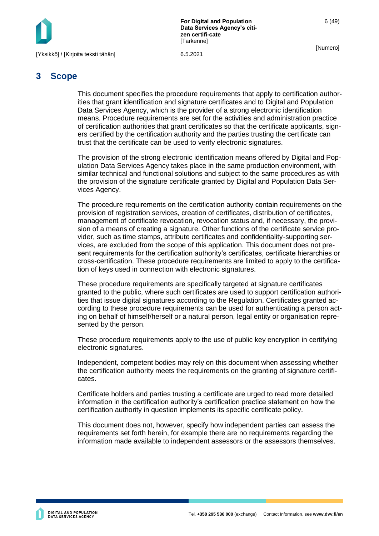

**For Digital and Population Data Services Agency's citizen certifi-cate [Tarkenne]** 

[Numero]

### <span id="page-6-0"></span>**3 Scope**

This document specifies the procedure requirements that apply to certification authorities that grant identification and signature certificates and to Digital and Population Data Services Agency, which is the provider of a strong electronic identification means. Procedure requirements are set for the activities and administration practice of certification authorities that grant certificates so that the certificate applicants, signers certified by the certification authority and the parties trusting the certificate can trust that the certificate can be used to verify electronic signatures.

The provision of the strong electronic identification means offered by Digital and Population Data Services Agency takes place in the same production environment, with similar technical and functional solutions and subject to the same procedures as with the provision of the signature certificate granted by Digital and Population Data Services Agency.

The procedure requirements on the certification authority contain requirements on the provision of registration services, creation of certificates, distribution of certificates, management of certificate revocation, revocation status and, if necessary, the provision of a means of creating a signature. Other functions of the certificate service provider, such as time stamps, attribute certificates and confidentiality-supporting services, are excluded from the scope of this application. This document does not present requirements for the certification authority's certificates, certificate hierarchies or cross-certification. These procedure requirements are limited to apply to the certification of keys used in connection with electronic signatures.

These procedure requirements are specifically targeted at signature certificates granted to the public, where such certificates are used to support certification authorities that issue digital signatures according to the Regulation. Certificates granted according to these procedure requirements can be used for authenticating a person acting on behalf of himself/herself or a natural person, legal entity or organisation represented by the person.

These procedure requirements apply to the use of public key encryption in certifying electronic signatures.

Independent, competent bodies may rely on this document when assessing whether the certification authority meets the requirements on the granting of signature certificates.

Certificate holders and parties trusting a certificate are urged to read more detailed information in the certification authority's certification practice statement on how the certification authority in question implements its specific certificate policy.

This document does not, however, specify how independent parties can assess the requirements set forth herein, for example there are no requirements regarding the information made available to independent assessors or the assessors themselves.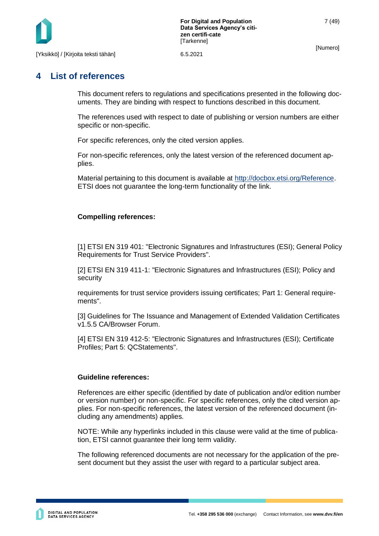

### <span id="page-7-0"></span>**4 List of references**

This document refers to regulations and specifications presented in the following documents. They are binding with respect to functions described in this document.

The references used with respect to date of publishing or version numbers are either specific or non-specific.

For specific references, only the cited version applies.

For non-specific references, only the latest version of the referenced document applies.

Material pertaining to this document is available at<http://docbox.etsi.org/Reference.> ETSI does not guarantee the long-term functionality of the link.

### **Compelling references:**

[1] ETSI EN 319 401: "Electronic Signatures and Infrastructures (ESI); General Policy Requirements for Trust Service Providers".

[2] ETSI EN 319 411-1: "Electronic Signatures and Infrastructures (ESI); Policy and security

requirements for trust service providers issuing certificates; Part 1: General requirements".

[3] Guidelines for The Issuance and Management of Extended Validation Certificates v1.5.5 CA/Browser Forum.

[4] ETSI EN 319 412-5: "Electronic Signatures and Infrastructures (ESI); Certificate Profiles; Part 5: QCStatements".

### **Guideline references:**

References are either specific (identified by date of publication and/or edition number or version number) or non-specific. For specific references, only the cited version applies. For non-specific references, the latest version of the referenced document (including any amendments) applies.

NOTE: While any hyperlinks included in this clause were valid at the time of publication, ETSI cannot guarantee their long term validity.

The following referenced documents are not necessary for the application of the present document but they assist the user with regard to a particular subject area.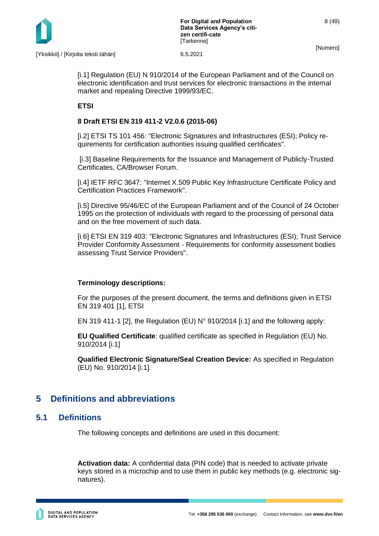

[i.1] Regulation (EU) N 910/2014 of the European Parliament and of the Council on electronic identification and trust services for electronic transactions in the internal market and repealing Directive 1999/93/EC.

### **ETSI**

### **8 Draft ETSI EN 319 411-2 V2.0.6 (2015-06)**

[i.2] ETSI TS 101 456: "Electronic Signatures and Infrastructures (ESI); Policy requirements for certification authorities issuing qualified certificates".

[i.3] Baseline Requirements for the Issuance and Management of Publicly-Trusted Certificates, CA/Browser Forum.

[i.4] IETF RFC 3647: "Internet X.509 Public Key Infrastructure Certificate Policy and Certification Practices Framework".

[i.5] Directive 95/46/EC of the European Parliament and of the Council of 24 October 1995 on the protection of individuals with regard to the processing of personal data and on the free movement of such data.

[i.6] ETSI EN 319 403: "Electronic Signatures and Infrastructures (ESI); Trust Service Provider Conformity Assessment - Requirements for conformity assessment bodies assessing Trust Service Providers".

### **Terminology descriptions:**

For the purposes of the present document, the terms and definitions given in ETSI EN 319 401 [1], ETSI

EN 319 411-1 [2], the Regulation (EU) N° 910/2014 [i.1] and the following apply:

**EU Qualified Certificate**: qualified certificate as specified in Regulation (EU) No. 910/2014 [i.1]

**Qualified Electronic Signature/Seal Creation Device:** As specified in Regulation (EU) No. 910/2014 [i.1].

### <span id="page-8-0"></span>**5 Definitions and abbreviations**

### <span id="page-8-1"></span>**5.1 Definitions**

The following concepts and definitions are used in this document:

**Activation data:** A confidential data (PIN code) that is needed to activate private keys stored in a microchip and to use them in public key methods (e.g. electronic signatures).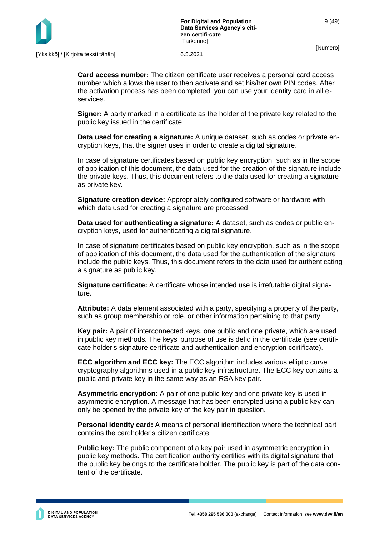

**Card access number:** The citizen certificate user receives a personal card access number which allows the user to then activate and set his/her own PIN codes. After the activation process has been completed, you can use your identity card in all eservices.

**Signer:** A party marked in a certificate as the holder of the private key related to the public key issued in the certificate

**Data used for creating a signature:** A unique dataset, such as codes or private encryption keys, that the signer uses in order to create a digital signature.

In case of signature certificates based on public key encryption, such as in the scope of application of this document, the data used for the creation of the signature include the private keys. Thus, this document refers to the data used for creating a signature as private key.

**Signature creation device:** Appropriately configured software or hardware with which data used for creating a signature are processed.

**Data used for authenticating a signature:** A dataset, such as codes or public encryption keys, used for authenticating a digital signature.

In case of signature certificates based on public key encryption, such as in the scope of application of this document, the data used for the authentication of the signature include the public keys. Thus, this document refers to the data used for authenticating a signature as public key.

**Signature certificate:** A certificate whose intended use is irrefutable digital signature.

**Attribute:** A data element associated with a party, specifying a property of the party, such as group membership or role, or other information pertaining to that party.

**Key pair:** A pair of interconnected keys, one public and one private, which are used in public key methods. The keys' purpose of use is defid in the certificate (see certificate holder's signature certificate and authentication and encryption certificate).

**ECC algorithm and ECC key:** The ECC algorithm includes various elliptic curve cryptography algorithms used in a public key infrastructure. The ECC key contains a public and private key in the same way as an RSA key pair.

**Asymmetric encryption:** A pair of one public key and one private key is used in asymmetric encryption. A message that has been encrypted using a public key can only be opened by the private key of the key pair in question.

**Personal identity card:** A means of personal identification where the technical part contains the cardholder's citizen certificate.

**Public key:** The public component of a key pair used in asymmetric encryption in public key methods. The certification authority certifies with its digital signature that the public key belongs to the certificate holder. The public key is part of the data content of the certificate.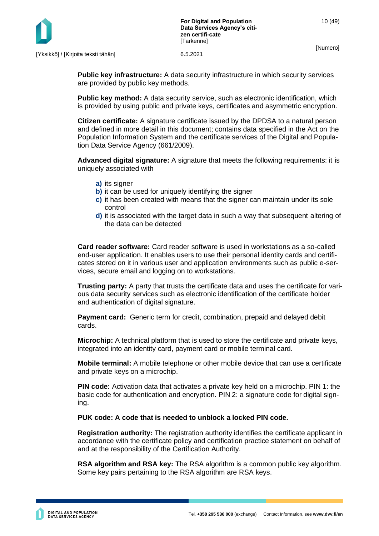

**Public key infrastructure:** A data security infrastructure in which security services are provided by public key methods.

**Public key method:** A data security service, such as electronic identification, which is provided by using public and private keys, certificates and asymmetric encryption.

**Citizen certificate:** A signature certificate issued by the DPDSA to a natural person and defined in more detail in this document; contains data specified in the Act on the Population Information System and the certificate services of the Digital and Population Data Service Agency (661/2009).

**Advanced digital signature:** A signature that meets the following requirements: it is uniquely associated with

- **a)** its signer
- **b**) it can be used for uniquely identifying the signer
- **c)** it has been created with means that the signer can maintain under its sole control
- **d)** it is associated with the target data in such a way that subsequent altering of the data can be detected

**Card reader software:** Card reader software is used in workstations as a so-called end-user application. It enables users to use their personal identity cards and certificates stored on it in various user and application environments such as public e-services, secure email and logging on to workstations.

**Trusting party:** A party that trusts the certificate data and uses the certificate for various data security services such as electronic identification of the certificate holder and authentication of digital signature.

**Payment card:** Generic term for credit, combination, prepaid and delayed debit cards.

**Microchip:** A technical platform that is used to store the certificate and private keys, integrated into an identity card, payment card or mobile terminal card.

**Mobile terminal:** A mobile telephone or other mobile device that can use a certificate and private keys on a microchip.

**PIN code:** Activation data that activates a private key held on a microchip. PIN 1: the basic code for authentication and encryption. PIN 2: a signature code for digital signing.

### **PUK code: A code that is needed to unblock a locked PIN code.**

**Registration authority:** The registration authority identifies the certificate applicant in accordance with the certificate policy and certification practice statement on behalf of and at the responsibility of the Certification Authority.

**RSA algorithm and RSA key:** The RSA algorithm is a common public key algorithm. Some key pairs pertaining to the RSA algorithm are RSA keys.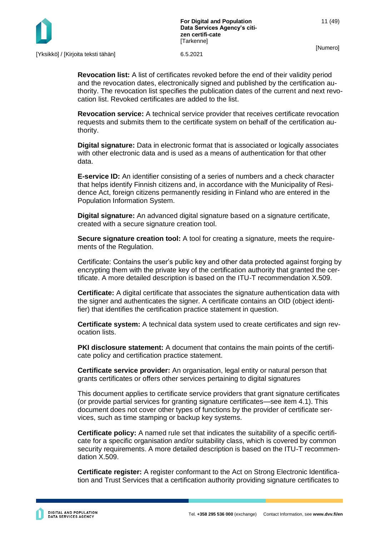

**Revocation list:** A list of certificates revoked before the end of their validity period and the revocation dates, electronically signed and published by the certification authority. The revocation list specifies the publication dates of the current and next revocation list. Revoked certificates are added to the list.

**Revocation service:** A technical service provider that receives certificate revocation requests and submits them to the certificate system on behalf of the certification authority.

**Digital signature:** Data in electronic format that is associated or logically associates with other electronic data and is used as a means of authentication for that other data.

**E-service ID:** An identifier consisting of a series of numbers and a check character that helps identify Finnish citizens and, in accordance with the Municipality of Residence Act, foreign citizens permanently residing in Finland who are entered in the Population Information System.

**Digital signature:** An advanced digital signature based on a signature certificate, created with a secure signature creation tool.

**Secure signature creation tool:** A tool for creating a signature, meets the requirements of the Regulation.

Certificate: Contains the user's public key and other data protected against forging by encrypting them with the private key of the certification authority that granted the certificate. A more detailed description is based on the ITU-T recommendation X.509.

**Certificate:** A digital certificate that associates the signature authentication data with the signer and authenticates the signer. A certificate contains an OID (object identifier) that identifies the certification practice statement in question.

**Certificate system:** A technical data system used to create certificates and sign revocation lists.

**PKI disclosure statement:** A document that contains the main points of the certificate policy and certification practice statement.

**Certificate service provider:** An organisation, legal entity or natural person that grants certificates or offers other services pertaining to digital signatures

This document applies to certificate service providers that grant signature certificates (or provide partial services for granting signature certificates—see item 4.1). This document does not cover other types of functions by the provider of certificate services, such as time stamping or backup key systems.

**Certificate policy:** A named rule set that indicates the suitability of a specific certificate for a specific organisation and/or suitability class, which is covered by common security requirements. A more detailed description is based on the ITU-T recommendation X.509.

**Certificate register:** A register conformant to the Act on Strong Electronic Identification and Trust Services that a certification authority providing signature certificates to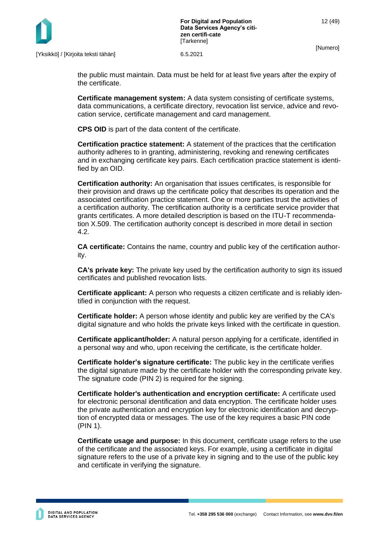

the public must maintain. Data must be held for at least five years after the expiry of the certificate.

**Certificate management system:** A data system consisting of certificate systems, data communications, a certificate directory, revocation list service, advice and revocation service, certificate management and card management.

**CPS OID** is part of the data content of the certificate.

**Certification practice statement:** A statement of the practices that the certification authority adheres to in granting, administering, revoking and renewing certificates and in exchanging certificate key pairs. Each certification practice statement is identified by an OID.

**Certification authority:** An organisation that issues certificates, is responsible for their provision and draws up the certificate policy that describes its operation and the associated certification practice statement. One or more parties trust the activities of a certification authority. The certification authority is a certificate service provider that grants certificates. A more detailed description is based on the ITU-T recommendation X.509. The certification authority concept is described in more detail in section 4.2.

**CA certificate:** Contains the name, country and public key of the certification authority.

**CA's private key:** The private key used by the certification authority to sign its issued certificates and published revocation lists.

**Certificate applicant:** A person who requests a citizen certificate and is reliably identified in conjunction with the request.

**Certificate holder:** A person whose identity and public key are verified by the CA's digital signature and who holds the private keys linked with the certificate in question.

**Certificate applicant/holder:** A natural person applying for a certificate, identified in a personal way and who, upon receiving the certificate, is the certificate holder.

**Certificate holder's signature certificate:** The public key in the certificate verifies the digital signature made by the certificate holder with the corresponding private key. The signature code (PIN 2) is required for the signing.

**Certificate holder's authentication and encryption certificate:** A certificate used for electronic personal identification and data encryption. The certificate holder uses the private authentication and encryption key for electronic identification and decryption of encrypted data or messages. The use of the key requires a basic PIN code (PIN 1).

**Certificate usage and purpose:** In this document, certificate usage refers to the use of the certificate and the associated keys. For example, using a certificate in digital signature refers to the use of a private key in signing and to the use of the public key and certificate in verifying the signature.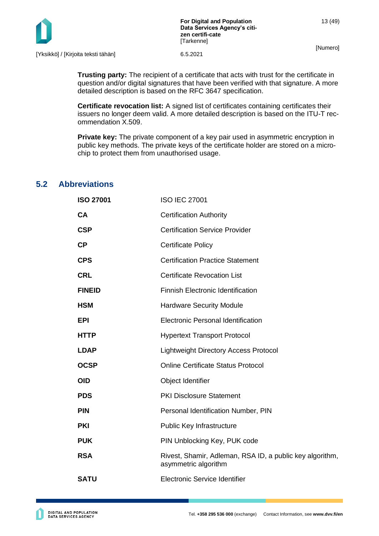

[Yksikkö] / [Kirjoita teksti tähän] 6.5.2021

**Trusting party:** The recipient of a certificate that acts with trust for the certificate in question and/or digital signatures that have been verified with that signature. A more detailed description is based on the RFC 3647 specification.

**Certificate revocation list:** A signed list of certificates containing certificates their issuers no longer deem valid. A more detailed description is based on the ITU-T recommendation X.509.

**Private key:** The private component of a key pair used in asymmetric encryption in public key methods. The private keys of the certificate holder are stored on a microchip to protect them from unauthorised usage.

### <span id="page-13-0"></span>**5.2 Abbreviations**

| <b>ISO 27001</b> | <b>ISO IEC 27001</b>                                                             |
|------------------|----------------------------------------------------------------------------------|
| CA               | <b>Certification Authority</b>                                                   |
| <b>CSP</b>       | <b>Certification Service Provider</b>                                            |
| <b>CP</b>        | <b>Certificate Policy</b>                                                        |
| <b>CPS</b>       | <b>Certification Practice Statement</b>                                          |
| <b>CRL</b>       | <b>Certificate Revocation List</b>                                               |
| <b>FINEID</b>    | <b>Finnish Electronic Identification</b>                                         |
| <b>HSM</b>       | <b>Hardware Security Module</b>                                                  |
| <b>EPI</b>       | Electronic Personal Identification                                               |
| <b>HTTP</b>      | <b>Hypertext Transport Protocol</b>                                              |
| <b>LDAP</b>      | <b>Lightweight Directory Access Protocol</b>                                     |
| <b>OCSP</b>      | <b>Online Certificate Status Protocol</b>                                        |
| OID              | Object Identifier                                                                |
| <b>PDS</b>       | <b>PKI Disclosure Statement</b>                                                  |
| <b>PIN</b>       | Personal Identification Number, PIN                                              |
| <b>PKI</b>       | Public Key Infrastructure                                                        |
| <b>PUK</b>       | PIN Unblocking Key, PUK code                                                     |
| <b>RSA</b>       | Rivest, Shamir, Adleman, RSA ID, a public key algorithm,<br>asymmetric algorithm |
| <b>SATU</b>      | Electronic Service Identifier                                                    |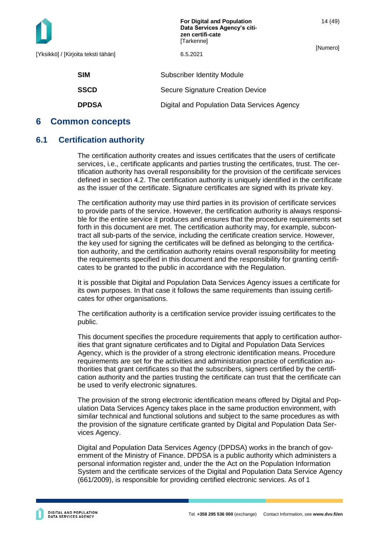|                                     | <b>For Digital and Population</b><br>Data Services Agency's citi-<br>zen certifi-cate<br>[Tarkenne] | 14 (49)  |
|-------------------------------------|-----------------------------------------------------------------------------------------------------|----------|
| [Yksikkö] / [Kirjoita teksti tähän] | 6.5.2021                                                                                            | [Numero] |
| <b>SIM</b>                          | <b>Subscriber Identity Module</b>                                                                   |          |
| <b>SSCD</b>                         | Secure Signature Creation Device                                                                    |          |
| <b>DPDSA</b>                        | Digital and Population Data Services Agency                                                         |          |

### <span id="page-14-0"></span>**6 Common concepts**

### <span id="page-14-1"></span>**6.1 Certification authority**

The certification authority creates and issues certificates that the users of certificate services, i.e., certificate applicants and parties trusting the certificates, trust. The certification authority has overall responsibility for the provision of the certificate services defined in section 4.2. The certification authority is uniquely identified in the certificate as the issuer of the certificate. Signature certificates are signed with its private key.

The certification authority may use third parties in its provision of certificate services to provide parts of the service. However, the certification authority is always responsible for the entire service it produces and ensures that the procedure requirements set forth in this document are met. The certification authority may, for example, subcontract all sub-parts of the service, including the certificate creation service. However, the key used for signing the certificates will be defined as belonging to the certification authority, and the certification authority retains overall responsibility for meeting the requirements specified in this document and the responsibility for granting certificates to be granted to the public in accordance with the Regulation.

It is possible that Digital and Population Data Services Agency issues a certificate for its own purposes. In that case it follows the same requirements than issuing certificates for other organisations.

The certification authority is a certification service provider issuing certificates to the public.

This document specifies the procedure requirements that apply to certification authorities that grant signature certificates and to Digital and Population Data Services Agency, which is the provider of a strong electronic identification means. Procedure requirements are set for the activities and administration practice of certification authorities that grant certificates so that the subscribers, signers certified by the certification authority and the parties trusting the certificate can trust that the certificate can be used to verify electronic signatures.

The provision of the strong electronic identification means offered by Digital and Population Data Services Agency takes place in the same production environment, with similar technical and functional solutions and subject to the same procedures as with the provision of the signature certificate granted by Digital and Population Data Services Agency.

Digital and Population Data Services Agency (DPDSA) works in the branch of government of the Ministry of Finance. DPDSA is a public authority which administers a personal information register and, under the the Act on the Population Information System and the certificate services of the Digital and Population Data Service Agency (661/2009), is responsible for providing certified electronic services. As of 1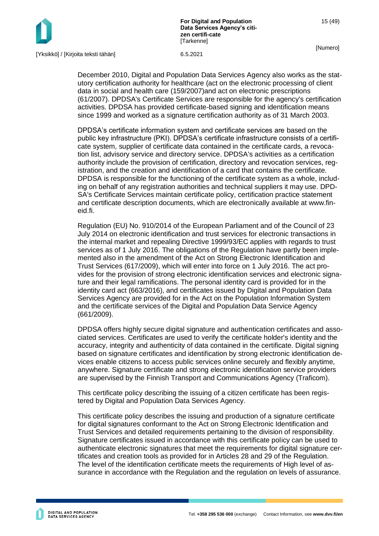

December 2010, Digital and Population Data Services Agency also works as the statutory certification authority for healthcare (act on the electronic processing of client data in social and health care (159/2007)and act on electronic prescriptions (61/2007). DPDSA's Certificate Services are responsible for the agency's certification activities. DPDSA has provided certificate-based signing and identification means since 1999 and worked as a signature certification authority as of 31 March 2003.

DPDSA's certificate information system and certificate services are based on the public key infrastructure (PKI). DPDSA's certificate infrastructure consists of a certificate system, supplier of certificate data contained in the certificate cards, a revocation list, advisory service and directory service. DPDSA's activities as a certification authority include the provision of certification, directory and revocation services, registration, and the creation and identification of a card that contains the certificate. DPDSA is responsible for the functioning of the certificate system as a whole, including on behalf of any registration authorities and technical suppliers it may use. DPD-SA's Certificate Services maintain certificate policy, certification practice statement and certificate description documents, which are electronically available at www.fineid.fi.

Regulation (EU) No. 910/2014 of the European Parliament and of the Council of 23 July 2014 on electronic identification and trust services for electronic transactions in the internal market and repealing Directive 1999/93/EC applies with regards to trust services as of 1 July 2016. The obligations of the Regulation have partly been implemented also in the amendment of the Act on Strong Electronic Identification and Trust Services (617/2009), which will enter into force on 1 July 2016. The act provides for the provision of strong electronic identification services and electronic signature and their legal ramifications. The personal identity card is provided for in the identity card act (663/2016), and certificates issued by Digital and Population Data Services Agency are provided for in the Act on the Population Information System and the certificate services of the Digital and Population Data Service Agency (661/2009).

DPDSA offers highly secure digital signature and authentication certificates and associated services. Certificates are used to verify the certificate holder's identity and the accuracy, integrity and authenticity of data contained in the certificate. Digital signing based on signature certificates and identification by strong electronic identification devices enable citizens to access public services online securely and flexibly anytime, anywhere. Signature certificate and strong electronic identification service providers are supervised by the Finnish Transport and Communications Agency (Traficom).

This certificate policy describing the issuing of a citizen certificate has been registered by Digital and Population Data Services Agency.

This certificate policy describes the issuing and production of a signature certificate for digital signatures conformant to the Act on Strong Electronic Identification and Trust Services and detailed requirements pertaining to the division of responsibility. Signature certificates issued in accordance with this certificate policy can be used to authenticate electronic signatures that meet the requirements for digital signature certificates and creation tools as provided for in Articles 28 and 29 of the Regulation. The level of the identification certificate meets the requirements of High level of assurance in accordance with the Regulation and the regulation on levels of assurance.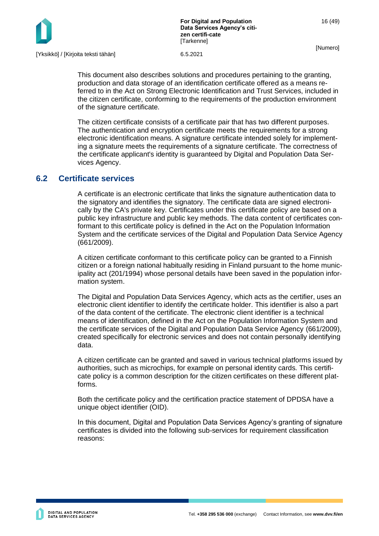

This document also describes solutions and procedures pertaining to the granting, production and data storage of an identification certificate offered as a means referred to in the Act on Strong Electronic Identification and Trust Services, included in the citizen certificate, conforming to the requirements of the production environment of the signature certificate.

The citizen certificate consists of a certificate pair that has two different purposes. The authentication and encryption certificate meets the requirements for a strong electronic identification means. A signature certificate intended solely for implementing a signature meets the requirements of a signature certificate. The correctness of the certificate applicant's identity is guaranteed by Digital and Population Data Services Agency.

### <span id="page-16-0"></span>**6.2 Certificate services**

A certificate is an electronic certificate that links the signature authentication data to the signatory and identifies the signatory. The certificate data are signed electronically by the CA's private key. Certificates under this certificate policy are based on a public key infrastructure and public key methods. The data content of certificates conformant to this certificate policy is defined in the Act on the Population Information System and the certificate services of the Digital and Population Data Service Agency (661/2009).

A citizen certificate conformant to this certificate policy can be granted to a Finnish citizen or a foreign national habitually residing in Finland pursuant to the home municipality act (201/1994) whose personal details have been saved in the population information system.

The Digital and Population Data Services Agency, which acts as the certifier, uses an electronic client identifier to identify the certificate holder. This identifier is also a part of the data content of the certificate. The electronic client identifier is a technical means of identification, defined in the Act on the Population Information System and the certificate services of the Digital and Population Data Service Agency (661/2009), created specifically for electronic services and does not contain personally identifying data.

A citizen certificate can be granted and saved in various technical platforms issued by authorities, such as microchips, for example on personal identity cards. This certificate policy is a common description for the citizen certificates on these different platforms.

Both the certificate policy and the certification practice statement of DPDSA have a unique object identifier (OID).

In this document, Digital and Population Data Services Agency's granting of signature certificates is divided into the following sub-services for requirement classification reasons: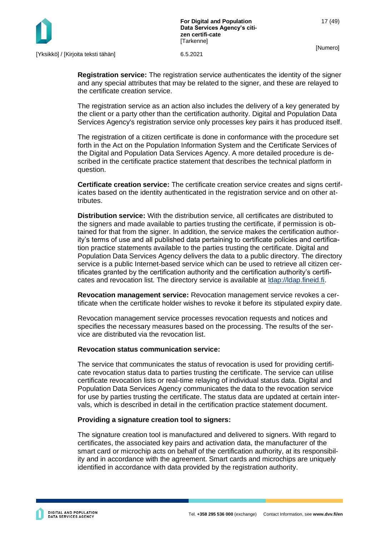**Registration service:** The registration service authenticates the identity of the signer and any special attributes that may be related to the signer, and these are relayed to the certificate creation service.

The registration service as an action also includes the delivery of a key generated by the client or a party other than the certification authority. Digital and Population Data Services Agency's registration service only processes key pairs it has produced itself.

The registration of a citizen certificate is done in conformance with the procedure set forth in the Act on the Population Information System and the Certificate Services of the Digital and Population Data Services Agency. A more detailed procedure is described in the certificate practice statement that describes the technical platform in question.

**Certificate creation service:** The certificate creation service creates and signs certificates based on the identity authenticated in the registration service and on other attributes.

**Distribution service:** With the distribution service, all certificates are distributed to the signers and made available to parties trusting the certificate, if permission is obtained for that from the signer. In addition, the service makes the certification authority's terms of use and all published data pertaining to certificate policies and certification practice statements available to the parties trusting the certificate. Digital and Population Data Services Agency delivers the data to a public directory. The directory service is a public Internet-based service which can be used to retrieve all citizen certificates granted by the certification authority and the certification authority's certificates and revocation list. The directory service is available at [ldap://ldap.fineid.fi.](ldap://ldap.fineid.fi/)

**Revocation management service:** Revocation management service revokes a certificate when the certificate holder wishes to revoke it before its stipulated expiry date.

Revocation management service processes revocation requests and notices and specifies the necessary measures based on the processing. The results of the service are distributed via the revocation list.

### **Revocation status communication service:**

The service that communicates the status of revocation is used for providing certificate revocation status data to parties trusting the certificate. The service can utilise certificate revocation lists or real-time relaying of individual status data. Digital and Population Data Services Agency communicates the data to the revocation service for use by parties trusting the certificate. The status data are updated at certain intervals, which is described in detail in the certification practice statement document.

### **Providing a signature creation tool to signers:**

The signature creation tool is manufactured and delivered to signers. With regard to certificates, the associated key pairs and activation data, the manufacturer of the smart card or microchip acts on behalf of the certification authority, at its responsibility and in accordance with the agreement. Smart cards and microchips are uniquely identified in accordance with data provided by the registration authority.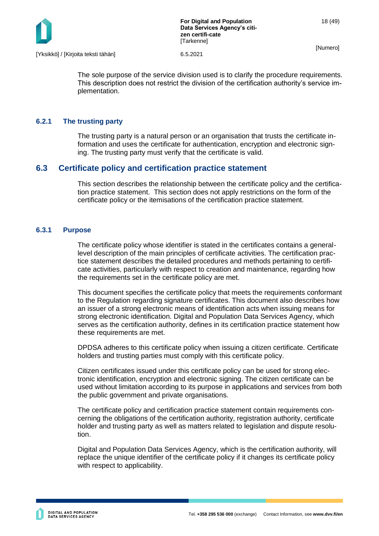

The sole purpose of the service division used is to clarify the procedure requirements. This description does not restrict the division of the certification authority's service implementation.

### <span id="page-18-0"></span>**6.2.1 The trusting party**

The trusting party is a natural person or an organisation that trusts the certificate information and uses the certificate for authentication, encryption and electronic signing. The trusting party must verify that the certificate is valid.

### <span id="page-18-1"></span>**6.3 Certificate policy and certification practice statement**

This section describes the relationship between the certificate policy and the certification practice statement. This section does not apply restrictions on the form of the certificate policy or the itemisations of the certification practice statement.

### <span id="page-18-2"></span>**6.3.1 Purpose**

The certificate policy whose identifier is stated in the certificates contains a generallevel description of the main principles of certificate activities. The certification practice statement describes the detailed procedures and methods pertaining to certificate activities, particularly with respect to creation and maintenance, regarding how the requirements set in the certificate policy are met.

This document specifies the certificate policy that meets the requirements conformant to the Regulation regarding signature certificates. This document also describes how an issuer of a strong electronic means of identification acts when issuing means for strong electronic identification. Digital and Population Data Services Agency, which serves as the certification authority, defines in its certification practice statement how these requirements are met.

DPDSA adheres to this certificate policy when issuing a citizen certificate. Certificate holders and trusting parties must comply with this certificate policy.

Citizen certificates issued under this certificate policy can be used for strong electronic identification, encryption and electronic signing. The citizen certificate can be used without limitation according to its purpose in applications and services from both the public government and private organisations.

The certificate policy and certification practice statement contain requirements concerning the obligations of the certification authority, registration authority, certificate holder and trusting party as well as matters related to legislation and dispute resolution.

Digital and Population Data Services Agency, which is the certification authority, will replace the unique identifier of the certificate policy if it changes its certificate policy with respect to applicability.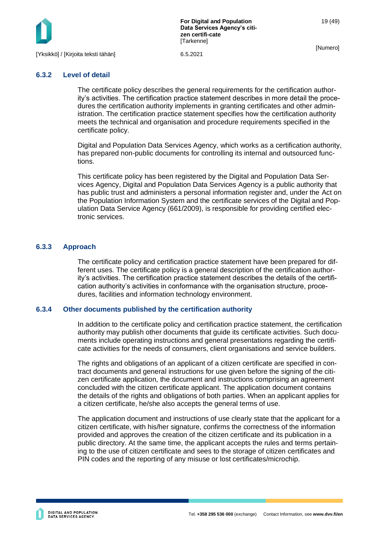

**For Digital and Population Data Services Agency's citizen certifi-cate [Tarkenne]** 

[Numero]

#### <span id="page-19-0"></span>**6.3.2 Level of detail**

The certificate policy describes the general requirements for the certification authority's activities. The certification practice statement describes in more detail the procedures the certification authority implements in granting certificates and other administration. The certification practice statement specifies how the certification authority meets the technical and organisation and procedure requirements specified in the certificate policy.

Digital and Population Data Services Agency, which works as a certification authority, has prepared non-public documents for controlling its internal and outsourced functions.

This certificate policy has been registered by the Digital and Population Data Services Agency, Digital and Population Data Services Agency is a public authority that has public trust and administers a personal information register and, under the Act on the Population Information System and the certificate services of the Digital and Population Data Service Agency (661/2009), is responsible for providing certified electronic services.

#### <span id="page-19-1"></span>**6.3.3 Approach**

The certificate policy and certification practice statement have been prepared for different uses. The certificate policy is a general description of the certification authority's activities. The certification practice statement describes the details of the certification authority's activities in conformance with the organisation structure, procedures, facilities and information technology environment.

#### <span id="page-19-2"></span>**6.3.4 Other documents published by the certification authority**

In addition to the certificate policy and certification practice statement, the certification authority may publish other documents that guide its certificate activities. Such documents include operating instructions and general presentations regarding the certificate activities for the needs of consumers, client organisations and service builders.

The rights and obligations of an applicant of a citizen certificate are specified in contract documents and general instructions for use given before the signing of the citizen certificate application, the document and instructions comprising an agreement concluded with the citizen certificate applicant. The application document contains the details of the rights and obligations of both parties. When an applicant applies for a citizen certificate, he/she also accepts the general terms of use.

The application document and instructions of use clearly state that the applicant for a citizen certificate, with his/her signature, confirms the correctness of the information provided and approves the creation of the citizen certificate and its publication in a public directory. At the same time, the applicant accepts the rules and terms pertaining to the use of citizen certificate and sees to the storage of citizen certificates and PIN codes and the reporting of any misuse or lost certificates/microchip.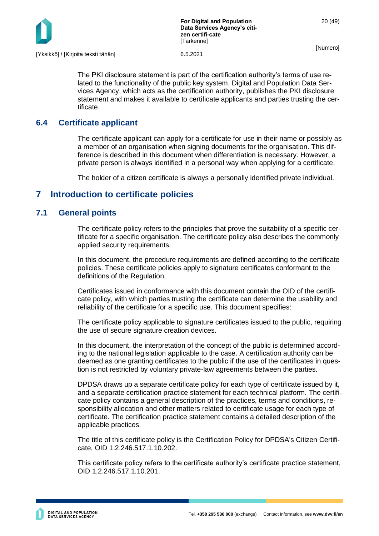

The PKI disclosure statement is part of the certification authority's terms of use related to the functionality of the public key system. Digital and Population Data Services Agency, which acts as the certification authority, publishes the PKI disclosure statement and makes it available to certificate applicants and parties trusting the certificate.

### <span id="page-20-0"></span>**6.4 Certificate applicant**

The certificate applicant can apply for a certificate for use in their name or possibly as a member of an organisation when signing documents for the organisation. This difference is described in this document when differentiation is necessary. However, a private person is always identified in a personal way when applying for a certificate.

The holder of a citizen certificate is always a personally identified private individual.

### <span id="page-20-1"></span>**7 Introduction to certificate policies**

### <span id="page-20-2"></span>**7.1 General points**

The certificate policy refers to the principles that prove the suitability of a specific certificate for a specific organisation. The certificate policy also describes the commonly applied security requirements.

In this document, the procedure requirements are defined according to the certificate policies. These certificate policies apply to signature certificates conformant to the definitions of the Regulation.

Certificates issued in conformance with this document contain the OID of the certificate policy, with which parties trusting the certificate can determine the usability and reliability of the certificate for a specific use. This document specifies:

The certificate policy applicable to signature certificates issued to the public, requiring the use of secure signature creation devices.

In this document, the interpretation of the concept of the public is determined according to the national legislation applicable to the case. A certification authority can be deemed as one granting certificates to the public if the use of the certificates in question is not restricted by voluntary private-law agreements between the parties.

DPDSA draws up a separate certificate policy for each type of certificate issued by it, and a separate certification practice statement for each technical platform. The certificate policy contains a general description of the practices, terms and conditions, responsibility allocation and other matters related to certificate usage for each type of certificate. The certification practice statement contains a detailed description of the applicable practices.

The title of this certificate policy is the Certification Policy for DPDSA's Citizen Certificate, OID 1.2.246.517.1.10.202.

This certificate policy refers to the certificate authority's certificate practice statement, OID 1.2.246.517.1.10.201.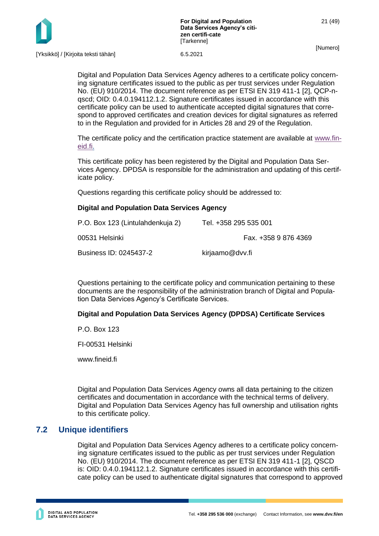

Digital and Population Data Services Agency adheres to a certificate policy concerning signature certificates issued to the public as per trust services under Regulation No. (EU) 910/2014. The document reference as per ETSI EN 319 411-1 [2], QCP-nqscd; OID: 0.4.0.194112.1.2. Signature certificates issued in accordance with this certificate policy can be used to authenticate accepted digital signatures that correspond to approved certificates and creation devices for digital signatures as referred to in the Regulation and provided for in Articles 28 and 29 of the Regulation.

The certificate policy and the certification practice statement are available at [www.fin](http://www.fineid.fi/)[eid.fi.](http://www.fineid.fi/)

This certificate policy has been registered by the Digital and Population Data Services Agency. DPDSA is responsible for the administration and updating of this certificate policy.

Questions regarding this certificate policy should be addressed to:

#### **Digital and Population Data Services Agency**

| P.O. Box 123 (Lintulahdenkuja 2) | Tel. +358 295 535 001 |
|----------------------------------|-----------------------|
| 00531 Helsinki                   | Fax. +358 9 876 4369  |
| Business ID: 0245437-2           | kirjaamo@dvv.fi       |

Questions pertaining to the certificate policy and communication pertaining to these documents are the responsibility of the administration branch of Digital and Population Data Services Agency's Certificate Services.

### **Digital and Population Data Services Agency (DPDSA) Certificate Services**

P.O. Box 123

FI-00531 Helsinki

www.fineid.fi

Digital and Population Data Services Agency owns all data pertaining to the citizen certificates and documentation in accordance with the technical terms of delivery. Digital and Population Data Services Agency has full ownership and utilisation rights to this certificate policy.

### <span id="page-21-0"></span>**7.2 Unique identifiers**

Digital and Population Data Services Agency adheres to a certificate policy concerning signature certificates issued to the public as per trust services under Regulation No. (EU) 910/2014. The document reference as per ETSI EN 319 411-1 [2], QSCD is: OID: 0.4.0.194112.1.2. Signature certificates issued in accordance with this certificate policy can be used to authenticate digital signatures that correspond to approved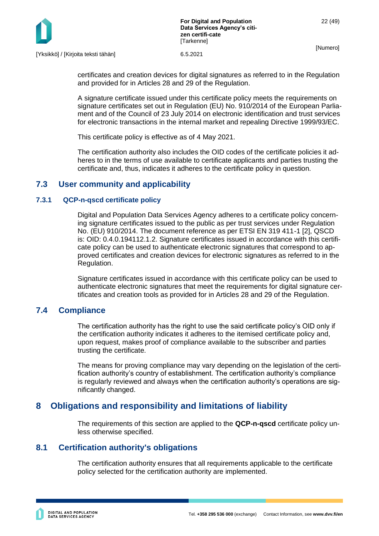

certificates and creation devices for digital signatures as referred to in the Regulation and provided for in Articles 28 and 29 of the Regulation.

A signature certificate issued under this certificate policy meets the requirements on signature certificates set out in Regulation (EU) No. 910/2014 of the European Parliament and of the Council of 23 July 2014 on electronic identification and trust services for electronic transactions in the internal market and repealing Directive 1999/93/EC.

This certificate policy is effective as of 4 May 2021.

The certification authority also includes the OID codes of the certificate policies it adheres to in the terms of use available to certificate applicants and parties trusting the certificate and, thus, indicates it adheres to the certificate policy in question.

### <span id="page-22-0"></span>**7.3 User community and applicability**

### <span id="page-22-1"></span>**7.3.1 QCP-n-qscd certificate policy**

Digital and Population Data Services Agency adheres to a certificate policy concerning signature certificates issued to the public as per trust services under Regulation No. (EU) 910/2014. The document reference as per ETSI EN 319 411-1 [2], QSCD is: OID: 0.4.0.194112.1.2. Signature certificates issued in accordance with this certificate policy can be used to authenticate electronic signatures that correspond to approved certificates and creation devices for electronic signatures as referred to in the Regulation.

Signature certificates issued in accordance with this certificate policy can be used to authenticate electronic signatures that meet the requirements for digital signature certificates and creation tools as provided for in Articles 28 and 29 of the Regulation.

### <span id="page-22-2"></span>**7.4 Compliance**

The certification authority has the right to use the said certificate policy's OID only if the certification authority indicates it adheres to the itemised certificate policy and, upon request, makes proof of compliance available to the subscriber and parties trusting the certificate.

The means for proving compliance may vary depending on the legislation of the certification authority's country of establishment. The certification authority's compliance is regularly reviewed and always when the certification authority's operations are significantly changed.

### <span id="page-22-3"></span>**8 Obligations and responsibility and limitations of liability**

The requirements of this section are applied to the **QCP-n-qscd** certificate policy unless otherwise specified.

### <span id="page-22-4"></span>**8.1 Certification authority's obligations**

The certification authority ensures that all requirements applicable to the certificate policy selected for the certification authority are implemented.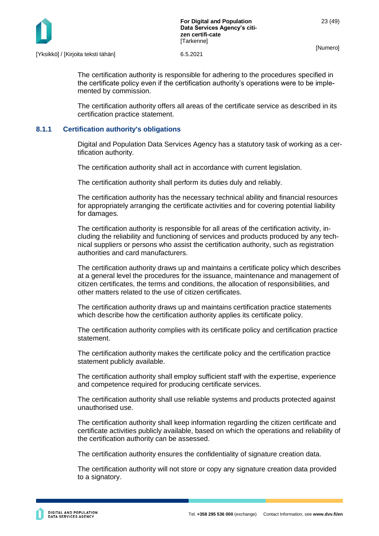

The certification authority is responsible for adhering to the procedures specified in the certificate policy even if the certification authority's operations were to be implemented by commission.

The certification authority offers all areas of the certificate service as described in its certification practice statement.

### <span id="page-23-0"></span>**8.1.1 Certification authority's obligations**

Digital and Population Data Services Agency has a statutory task of working as a certification authority.

The certification authority shall act in accordance with current legislation.

The certification authority shall perform its duties duly and reliably.

The certification authority has the necessary technical ability and financial resources for appropriately arranging the certificate activities and for covering potential liability for damages.

The certification authority is responsible for all areas of the certification activity, including the reliability and functioning of services and products produced by any technical suppliers or persons who assist the certification authority, such as registration authorities and card manufacturers.

The certification authority draws up and maintains a certificate policy which describes at a general level the procedures for the issuance, maintenance and management of citizen certificates, the terms and conditions, the allocation of responsibilities, and other matters related to the use of citizen certificates.

The certification authority draws up and maintains certification practice statements which describe how the certification authority applies its certificate policy.

The certification authority complies with its certificate policy and certification practice statement.

The certification authority makes the certificate policy and the certification practice statement publicly available.

The certification authority shall employ sufficient staff with the expertise, experience and competence required for producing certificate services.

The certification authority shall use reliable systems and products protected against unauthorised use.

The certification authority shall keep information regarding the citizen certificate and certificate activities publicly available, based on which the operations and reliability of the certification authority can be assessed.

The certification authority ensures the confidentiality of signature creation data.

The certification authority will not store or copy any signature creation data provided to a signatory.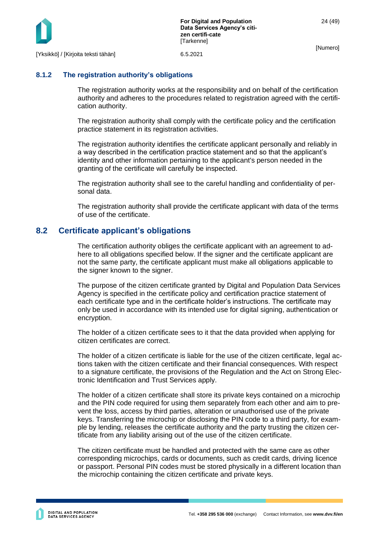

### <span id="page-24-0"></span>**8.1.2 The registration authority's obligations**

The registration authority works at the responsibility and on behalf of the certification authority and adheres to the procedures related to registration agreed with the certification authority.

The registration authority shall comply with the certificate policy and the certification practice statement in its registration activities.

The registration authority identifies the certificate applicant personally and reliably in a way described in the certification practice statement and so that the applicant's identity and other information pertaining to the applicant's person needed in the granting of the certificate will carefully be inspected.

The registration authority shall see to the careful handling and confidentiality of personal data.

The registration authority shall provide the certificate applicant with data of the terms of use of the certificate.

### <span id="page-24-1"></span>**8.2 Certificate applicant's obligations**

The certification authority obliges the certificate applicant with an agreement to adhere to all obligations specified below. If the signer and the certificate applicant are not the same party, the certificate applicant must make all obligations applicable to the signer known to the signer.

The purpose of the citizen certificate granted by Digital and Population Data Services Agency is specified in the certificate policy and certification practice statement of each certificate type and in the certificate holder's instructions. The certificate may only be used in accordance with its intended use for digital signing, authentication or encryption.

The holder of a citizen certificate sees to it that the data provided when applying for citizen certificates are correct.

The holder of a citizen certificate is liable for the use of the citizen certificate, legal actions taken with the citizen certificate and their financial consequences. With respect to a signature certificate, the provisions of the Regulation and the Act on Strong Electronic Identification and Trust Services apply.

The holder of a citizen certificate shall store its private keys contained on a microchip and the PIN code required for using them separately from each other and aim to prevent the loss, access by third parties, alteration or unauthorised use of the private keys. Transferring the microchip or disclosing the PIN code to a third party, for example by lending, releases the certificate authority and the party trusting the citizen certificate from any liability arising out of the use of the citizen certificate.

The citizen certificate must be handled and protected with the same care as other corresponding microchips, cards or documents, such as credit cards, driving licence or passport. Personal PIN codes must be stored physically in a different location than the microchip containing the citizen certificate and private keys.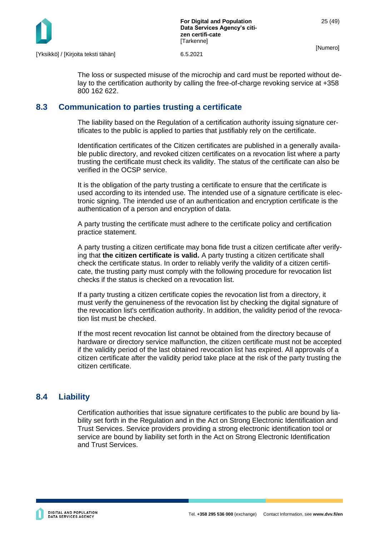

The loss or suspected misuse of the microchip and card must be reported without delay to the certification authority by calling the free-of-charge revoking service at +358 800 162 622.

### <span id="page-25-0"></span>**8.3 Communication to parties trusting a certificate**

The liability based on the Regulation of a certification authority issuing signature certificates to the public is applied to parties that justifiably rely on the certificate.

Identification certificates of the Citizen certificates are published in a generally available public directory, and revoked citizen certificates on a revocation list where a party trusting the certificate must check its validity. The status of the certificate can also be verified in the OCSP service.

It is the obligation of the party trusting a certificate to ensure that the certificate is used according to its intended use. The intended use of a signature certificate is electronic signing. The intended use of an authentication and encryption certificate is the authentication of a person and encryption of data.

A party trusting the certificate must adhere to the certificate policy and certification practice statement.

A party trusting a citizen certificate may bona fide trust a citizen certificate after verifying that **the citizen certificate is valid.** A party trusting a citizen certificate shall check the certificate status. In order to reliably verify the validity of a citizen certificate, the trusting party must comply with the following procedure for revocation list checks if the status is checked on a revocation list.

If a party trusting a citizen certificate copies the revocation list from a directory, it must verify the genuineness of the revocation list by checking the digital signature of the revocation list's certification authority. In addition, the validity period of the revocation list must be checked.

If the most recent revocation list cannot be obtained from the directory because of hardware or directory service malfunction, the citizen certificate must not be accepted if the validity period of the last obtained revocation list has expired. All approvals of a citizen certificate after the validity period take place at the risk of the party trusting the citizen certificate.

### <span id="page-25-1"></span>**8.4 Liability**

Certification authorities that issue signature certificates to the public are bound by liability set forth in the Regulation and in the Act on Strong Electronic Identification and Trust Services. Service providers providing a strong electronic identification tool or service are bound by liability set forth in the Act on Strong Electronic Identification and Trust Services.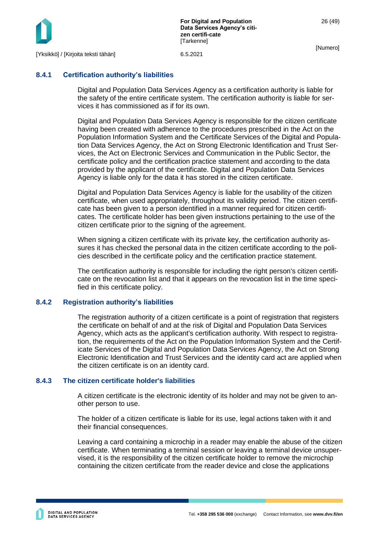

### <span id="page-26-0"></span>**8.4.1 Certification authority's liabilities**

Digital and Population Data Services Agency as a certification authority is liable for the safety of the entire certificate system. The certification authority is liable for services it has commissioned as if for its own.

Digital and Population Data Services Agency is responsible for the citizen certificate having been created with adherence to the procedures prescribed in the Act on the Population Information System and the Certificate Services of the Digital and Population Data Services Agency, the Act on Strong Electronic Identification and Trust Services, the Act on Electronic Services and Communication in the Public Sector, the certificate policy and the certification practice statement and according to the data provided by the applicant of the certificate. Digital and Population Data Services Agency is liable only for the data it has stored in the citizen certificate.

Digital and Population Data Services Agency is liable for the usability of the citizen certificate, when used appropriately, throughout its validity period. The citizen certificate has been given to a person identified in a manner required for citizen certificates. The certificate holder has been given instructions pertaining to the use of the citizen certificate prior to the signing of the agreement.

When signing a citizen certificate with its private key, the certification authority assures it has checked the personal data in the citizen certificate according to the policies described in the certificate policy and the certification practice statement.

The certification authority is responsible for including the right person's citizen certificate on the revocation list and that it appears on the revocation list in the time specified in this certificate policy.

### <span id="page-26-1"></span>**8.4.2 Registration authority's liabilities**

The registration authority of a citizen certificate is a point of registration that registers the certificate on behalf of and at the risk of Digital and Population Data Services Agency, which acts as the applicant's certification authority. With respect to registration, the requirements of the Act on the Population Information System and the Certificate Services of the Digital and Population Data Services Agency, the Act on Strong Electronic Identification and Trust Services and the identity card act are applied when the citizen certificate is on an identity card.

### <span id="page-26-2"></span>**8.4.3 The citizen certificate holder's liabilities**

A citizen certificate is the electronic identity of its holder and may not be given to another person to use.

The holder of a citizen certificate is liable for its use, legal actions taken with it and their financial consequences.

Leaving a card containing a microchip in a reader may enable the abuse of the citizen certificate. When terminating a terminal session or leaving a terminal device unsupervised, it is the responsibility of the citizen certificate holder to remove the microchip containing the citizen certificate from the reader device and close the applications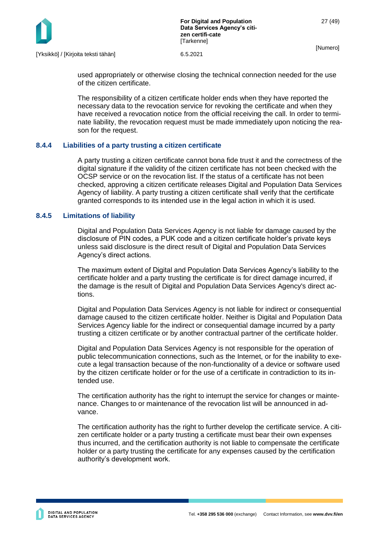

used appropriately or otherwise closing the technical connection needed for the use of the citizen certificate.

The responsibility of a citizen certificate holder ends when they have reported the necessary data to the revocation service for revoking the certificate and when they have received a revocation notice from the official receiving the call. In order to terminate liability, the revocation request must be made immediately upon noticing the reason for the request.

### <span id="page-27-0"></span>**8.4.4 Liabilities of a party trusting a citizen certificate**

A party trusting a citizen certificate cannot bona fide trust it and the correctness of the digital signature if the validity of the citizen certificate has not been checked with the OCSP service or on the revocation list. If the status of a certificate has not been checked, approving a citizen certificate releases Digital and Population Data Services Agency of liability. A party trusting a citizen certificate shall verify that the certificate granted corresponds to its intended use in the legal action in which it is used.

#### <span id="page-27-1"></span>**8.4.5 Limitations of liability**

Digital and Population Data Services Agency is not liable for damage caused by the disclosure of PIN codes, a PUK code and a citizen certificate holder's private keys unless said disclosure is the direct result of Digital and Population Data Services Agency's direct actions.

The maximum extent of Digital and Population Data Services Agency's liability to the certificate holder and a party trusting the certificate is for direct damage incurred, if the damage is the result of Digital and Population Data Services Agency's direct actions.

Digital and Population Data Services Agency is not liable for indirect or consequential damage caused to the citizen certificate holder. Neither is Digital and Population Data Services Agency liable for the indirect or consequential damage incurred by a party trusting a citizen certificate or by another contractual partner of the certificate holder.

Digital and Population Data Services Agency is not responsible for the operation of public telecommunication connections, such as the Internet, or for the inability to execute a legal transaction because of the non-functionality of a device or software used by the citizen certificate holder or for the use of a certificate in contradiction to its intended use.

The certification authority has the right to interrupt the service for changes or maintenance. Changes to or maintenance of the revocation list will be announced in advance.

The certification authority has the right to further develop the certificate service. A citizen certificate holder or a party trusting a certificate must bear their own expenses thus incurred, and the certification authority is not liable to compensate the certificate holder or a party trusting the certificate for any expenses caused by the certification authority's development work.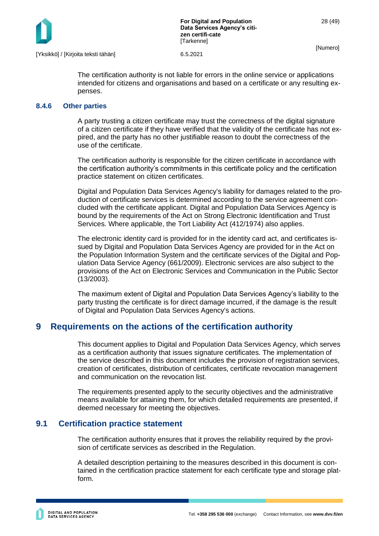

The certification authority is not liable for errors in the online service or applications intended for citizens and organisations and based on a certificate or any resulting expenses.

#### <span id="page-28-0"></span>**8.4.6 Other parties**

A party trusting a citizen certificate may trust the correctness of the digital signature of a citizen certificate if they have verified that the validity of the certificate has not expired, and the party has no other justifiable reason to doubt the correctness of the use of the certificate.

The certification authority is responsible for the citizen certificate in accordance with the certification authority's commitments in this certificate policy and the certification practice statement on citizen certificates.

Digital and Population Data Services Agency's liability for damages related to the production of certificate services is determined according to the service agreement concluded with the certificate applicant. Digital and Population Data Services Agency is bound by the requirements of the Act on Strong Electronic Identification and Trust Services. Where applicable, the Tort Liability Act (412/1974) also applies.

The electronic identity card is provided for in the identity card act, and certificates issued by Digital and Population Data Services Agency are provided for in the Act on the Population Information System and the certificate services of the Digital and Population Data Service Agency (661/2009). Electronic services are also subject to the provisions of the Act on Electronic Services and Communication in the Public Sector (13/2003).

The maximum extent of Digital and Population Data Services Agency's liability to the party trusting the certificate is for direct damage incurred, if the damage is the result of Digital and Population Data Services Agency's actions.

### <span id="page-28-1"></span>**9 Requirements on the actions of the certification authority**

This document applies to Digital and Population Data Services Agency, which serves as a certification authority that issues signature certificates. The implementation of the service described in this document includes the provision of registration services, creation of certificates, distribution of certificates, certificate revocation management and communication on the revocation list.

The requirements presented apply to the security objectives and the administrative means available for attaining them, for which detailed requirements are presented, if deemed necessary for meeting the objectives.

### <span id="page-28-2"></span>**9.1 Certification practice statement**

The certification authority ensures that it proves the reliability required by the provision of certificate services as described in the Regulation.

A detailed description pertaining to the measures described in this document is contained in the certification practice statement for each certificate type and storage platform.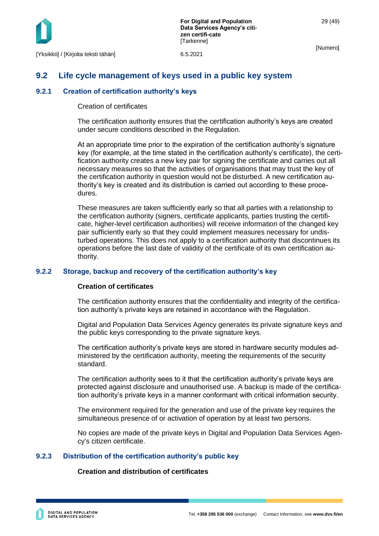

### <span id="page-29-0"></span>**9.2 Life cycle management of keys used in a public key system**

### <span id="page-29-1"></span>**9.2.1 Creation of certification authority's keys**

#### Creation of certificates

The certification authority ensures that the certification authority's keys are created under secure conditions described in the Regulation.

At an appropriate time prior to the expiration of the certification authority's signature key (for example, at the time stated in the certification authority's certificate), the certification authority creates a new key pair for signing the certificate and carries out all necessary measures so that the activities of organisations that may trust the key of the certification authority in question would not be disturbed. A new certification authority's key is created and its distribution is carried out according to these procedures.

These measures are taken sufficiently early so that all parties with a relationship to the certification authority (signers, certificate applicants, parties trusting the certificate, higher-level certification authorities) will receive information of the changed key pair sufficiently early so that they could implement measures necessary for undisturbed operations. This does not apply to a certification authority that discontinues its operations before the last date of validity of the certificate of its own certification authority.

### <span id="page-29-2"></span>**9.2.2 Storage, backup and recovery of the certification authority's key**

#### **Creation of certificates**

The certification authority ensures that the confidentiality and integrity of the certification authority's private keys are retained in accordance with the Regulation.

Digital and Population Data Services Agency generates its private signature keys and the public keys corresponding to the private signature keys.

The certification authority's private keys are stored in hardware security modules administered by the certification authority, meeting the requirements of the security standard.

The certification authority sees to it that the certification authority's private keys are protected against disclosure and unauthorised use. A backup is made of the certification authority's private keys in a manner conformant with critical information security.

The environment required for the generation and use of the private key requires the simultaneous presence of or activation of operation by at least two persons.

No copies are made of the private keys in Digital and Population Data Services Agency's citizen certificate.

### <span id="page-29-3"></span>**9.2.3 Distribution of the certification authority's public key**

#### **Creation and distribution of certificates**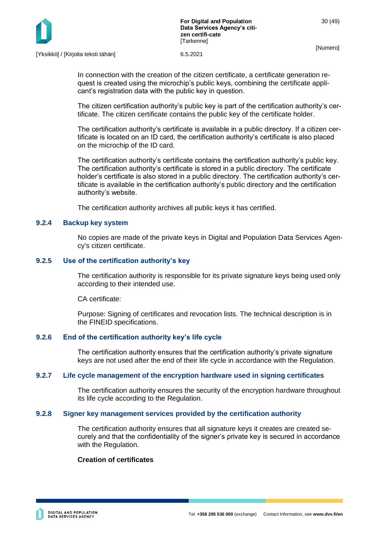

In connection with the creation of the citizen certificate, a certificate generation request is created using the microchip's public keys, combining the certificate applicant's registration data with the public key in question.

The citizen certification authority's public key is part of the certification authority's certificate. The citizen certificate contains the public key of the certificate holder.

The certification authority's certificate is available in a public directory. If a citizen certificate is located on an ID card, the certification authority's certificate is also placed on the microchip of the ID card.

The certification authority's certificate contains the certification authority's public key. The certification authority's certificate is stored in a public directory. The certificate holder's certificate is also stored in a public directory. The certification authority's certificate is available in the certification authority's public directory and the certification authority's website.

The certification authority archives all public keys it has certified.

#### <span id="page-30-0"></span>**9.2.4 Backup key system**

No copies are made of the private keys in Digital and Population Data Services Agency's citizen certificate.

#### <span id="page-30-1"></span>**9.2.5 Use of the certification authority's key**

The certification authority is responsible for its private signature keys being used only according to their intended use.

CA certificate:

Purpose: Signing of certificates and revocation lists. The technical description is in the FINEID specifications.

### <span id="page-30-2"></span>**9.2.6 End of the certification authority key's life cycle**

The certification authority ensures that the certification authority's private signature keys are not used after the end of their life cycle in accordance with the Regulation.

### <span id="page-30-3"></span>**9.2.7 Life cycle management of the encryption hardware used in signing certificates**

The certification authority ensures the security of the encryption hardware throughout its life cycle according to the Regulation.

#### <span id="page-30-4"></span>**9.2.8 Signer key management services provided by the certification authority**

The certification authority ensures that all signature keys it creates are created securely and that the confidentiality of the signer's private key is secured in accordance with the Regulation.

#### **Creation of certificates**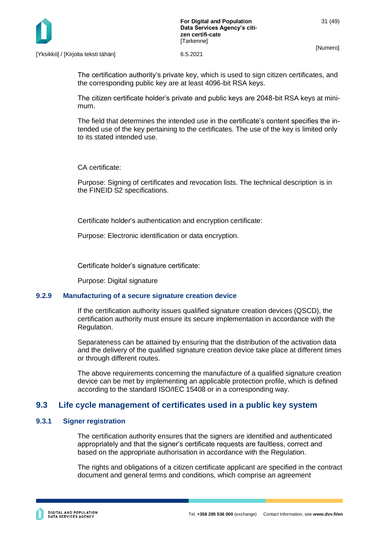

31 (49)

The certification authority's private key, which is used to sign citizen certificates, and the corresponding public key are at least 4096-bit RSA keys.

The citizen certificate holder's private and public keys are 2048-bit RSA keys at minimum.

The field that determines the intended use in the certificate's content specifies the intended use of the key pertaining to the certificates. The use of the key is limited only to its stated intended use.

CA certificate:

Purpose: Signing of certificates and revocation lists. The technical description is in the FINEID S2 specifications.

Certificate holder's authentication and encryption certificate:

Purpose: Electronic identification or data encryption.

Certificate holder's signature certificate:

Purpose: Digital signature

### <span id="page-31-0"></span>**9.2.9 Manufacturing of a secure signature creation device**

If the certification authority issues qualified signature creation devices (QSCD), the certification authority must ensure its secure implementation in accordance with the Regulation.

Separateness can be attained by ensuring that the distribution of the activation data and the delivery of the qualified signature creation device take place at different times or through different routes.

The above requirements concerning the manufacture of a qualified signature creation device can be met by implementing an applicable protection profile, which is defined according to the standard ISO/IEC 15408 or in a corresponding way.

### <span id="page-31-1"></span>**9.3 Life cycle management of certificates used in a public key system**

#### <span id="page-31-2"></span>**9.3.1 Signer registration**

The certification authority ensures that the signers are identified and authenticated appropriately and that the signer's certificate requests are faultless, correct and based on the appropriate authorisation in accordance with the Regulation.

The rights and obligations of a citizen certificate applicant are specified in the contract document and general terms and conditions, which comprise an agreement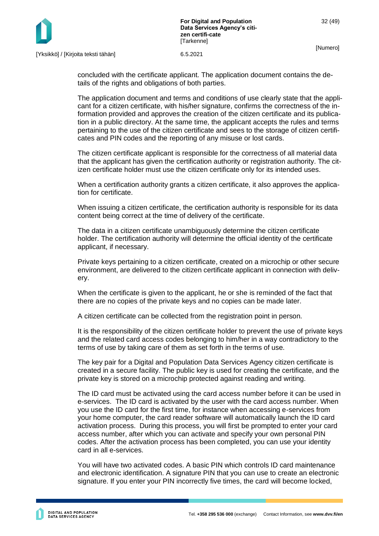

concluded with the certificate applicant. The application document contains the details of the rights and obligations of both parties.

The application document and terms and conditions of use clearly state that the applicant for a citizen certificate, with his/her signature, confirms the correctness of the information provided and approves the creation of the citizen certificate and its publication in a public directory. At the same time, the applicant accepts the rules and terms pertaining to the use of the citizen certificate and sees to the storage of citizen certificates and PIN codes and the reporting of any misuse or lost cards.

The citizen certificate applicant is responsible for the correctness of all material data that the applicant has given the certification authority or registration authority. The citizen certificate holder must use the citizen certificate only for its intended uses.

When a certification authority grants a citizen certificate, it also approves the application for certificate.

When issuing a citizen certificate, the certification authority is responsible for its data content being correct at the time of delivery of the certificate.

The data in a citizen certificate unambiguously determine the citizen certificate holder. The certification authority will determine the official identity of the certificate applicant, if necessary.

Private keys pertaining to a citizen certificate, created on a microchip or other secure environment, are delivered to the citizen certificate applicant in connection with delivery.

When the certificate is given to the applicant, he or she is reminded of the fact that there are no copies of the private keys and no copies can be made later.

A citizen certificate can be collected from the registration point in person.

It is the responsibility of the citizen certificate holder to prevent the use of private keys and the related card access codes belonging to him/her in a way contradictory to the terms of use by taking care of them as set forth in the terms of use.

The key pair for a Digital and Population Data Services Agency citizen certificate is created in a secure facility. The public key is used for creating the certificate, and the private key is stored on a microchip protected against reading and writing.

The ID card must be activated using the card access number before it can be used in e-services. The ID card is activated by the user with the card access number. When you use the ID card for the first time, for instance when accessing e-services from your home computer, the card reader software will automatically launch the ID card activation process. During this process, you will first be prompted to enter your card access number, after which you can activate and specify your own personal PIN codes. After the activation process has been completed, you can use your identity card in all e-services.

You will have two activated codes. A basic PIN which controls ID card maintenance and electronic identification. A signature PIN that you can use to create an electronic signature. If you enter your PIN incorrectly five times, the card will become locked,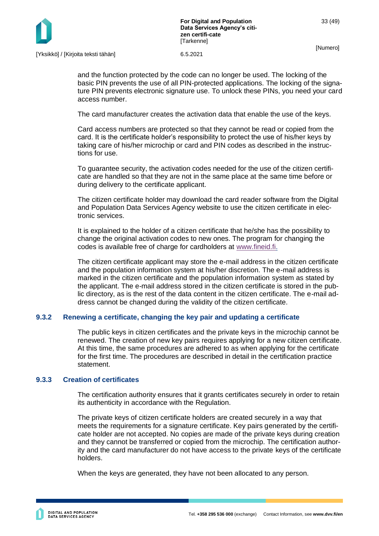

and the function protected by the code can no longer be used. The locking of the basic PIN prevents the use of all PIN-protected applications. The locking of the signature PIN prevents electronic signature use. To unlock these PINs, you need your card access number.

The card manufacturer creates the activation data that enable the use of the keys.

Card access numbers are protected so that they cannot be read or copied from the card. It is the certificate holder's responsibility to protect the use of his/her keys by taking care of his/her microchip or card and PIN codes as described in the instructions for use.

To guarantee security, the activation codes needed for the use of the citizen certificate are handled so that they are not in the same place at the same time before or during delivery to the certificate applicant.

The citizen certificate holder may download the card reader software from the Digital and Population Data Services Agency website to use the citizen certificate in electronic services.

It is explained to the holder of a citizen certificate that he/she has the possibility to change the original activation codes to new ones. The program for changing the codes is available free of charge for cardholders at [www.fineid.fi.](http://www.fineid.fi/)

The citizen certificate applicant may store the e-mail address in the citizen certificate and the population information system at his/her discretion. The e-mail address is marked in the citizen certificate and the population information system as stated by the applicant. The e-mail address stored in the citizen certificate is stored in the public directory, as is the rest of the data content in the citizen certificate. The e-mail address cannot be changed during the validity of the citizen certificate.

### <span id="page-33-0"></span>**9.3.2 Renewing a certificate, changing the key pair and updating a certificate**

The public keys in citizen certificates and the private keys in the microchip cannot be renewed. The creation of new key pairs requires applying for a new citizen certificate. At this time, the same procedures are adhered to as when applying for the certificate for the first time. The procedures are described in detail in the certification practice statement.

### <span id="page-33-1"></span>**9.3.3 Creation of certificates**

The certification authority ensures that it grants certificates securely in order to retain its authenticity in accordance with the Regulation.

The private keys of citizen certificate holders are created securely in a way that meets the requirements for a signature certificate. Key pairs generated by the certificate holder are not accepted. No copies are made of the private keys during creation and they cannot be transferred or copied from the microchip. The certification authority and the card manufacturer do not have access to the private keys of the certificate holders.

When the keys are generated, they have not been allocated to any person.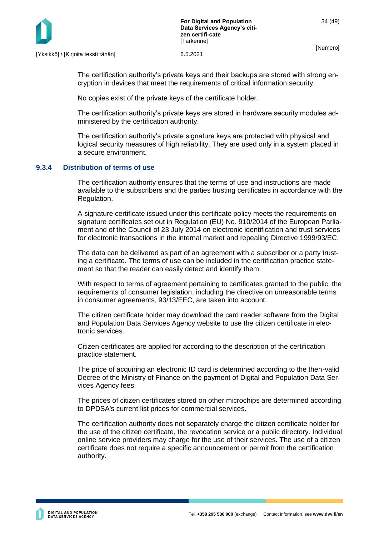

[Yksikkö] / [Kirjoita teksti tähän] 6.5.2021

The certification authority's private keys and their backups are stored with strong encryption in devices that meet the requirements of critical information security.

No copies exist of the private keys of the certificate holder.

The certification authority's private keys are stored in hardware security modules administered by the certification authority.

The certification authority's private signature keys are protected with physical and logical security measures of high reliability. They are used only in a system placed in a secure environment.

#### <span id="page-34-0"></span>**9.3.4 Distribution of terms of use**

The certification authority ensures that the terms of use and instructions are made available to the subscribers and the parties trusting certificates in accordance with the Regulation.

A signature certificate issued under this certificate policy meets the requirements on signature certificates set out in Regulation (EU) No. 910/2014 of the European Parliament and of the Council of 23 July 2014 on electronic identification and trust services for electronic transactions in the internal market and repealing Directive 1999/93/EC.

The data can be delivered as part of an agreement with a subscriber or a party trusting a certificate. The terms of use can be included in the certification practice statement so that the reader can easily detect and identify them.

With respect to terms of agreement pertaining to certificates granted to the public, the requirements of consumer legislation, including the directive on unreasonable terms in consumer agreements, 93/13/EEC, are taken into account.

The citizen certificate holder may download the card reader software from the Digital and Population Data Services Agency website to use the citizen certificate in electronic services.

Citizen certificates are applied for according to the description of the certification practice statement.

The price of acquiring an electronic ID card is determined according to the then-valid Decree of the Ministry of Finance on the payment of Digital and Population Data Services Agency fees.

The prices of citizen certificates stored on other microchips are determined according to DPDSA's current list prices for commercial services.

The certification authority does not separately charge the citizen certificate holder for the use of the citizen certificate, the revocation service or a public directory. Individual online service providers may charge for the use of their services. The use of a citizen certificate does not require a specific announcement or permit from the certification authority.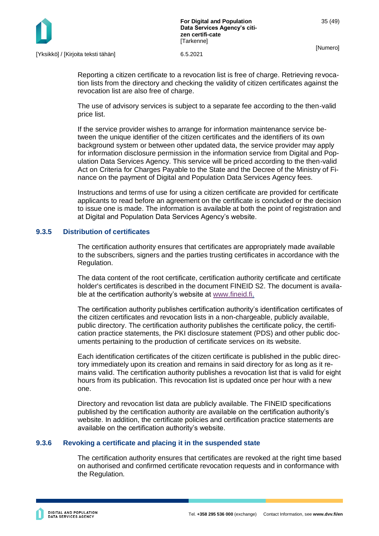

Reporting a citizen certificate to a revocation list is free of charge. Retrieving revocation lists from the directory and checking the validity of citizen certificates against the revocation list are also free of charge.

The use of advisory services is subject to a separate fee according to the then-valid price list.

If the service provider wishes to arrange for information maintenance service between the unique identifier of the citizen certificates and the identifiers of its own background system or between other updated data, the service provider may apply for information disclosure permission in the information service from Digital and Population Data Services Agency. This service will be priced according to the then-valid Act on Criteria for Charges Payable to the State and the Decree of the Ministry of Finance on the payment of Digital and Population Data Services Agency fees.

Instructions and terms of use for using a citizen certificate are provided for certificate applicants to read before an agreement on the certificate is concluded or the decision to issue one is made. The information is available at both the point of registration and at Digital and Population Data Services Agency's website.

### <span id="page-35-0"></span>**9.3.5 Distribution of certificates**

The certification authority ensures that certificates are appropriately made available to the subscribers, signers and the parties trusting certificates in accordance with the Regulation.

The data content of the root certificate, certification authority certificate and certificate holder's certificates is described in the document FINEID S2. The document is available at the certification authority's website at [www.fineid.fi.](http://www.fineid.fi/)

The certification authority publishes certification authority's identification certificates of the citizen certificates and revocation lists in a non-chargeable, publicly available, public directory. The certification authority publishes the certificate policy, the certification practice statements, the PKI disclosure statement (PDS) and other public documents pertaining to the production of certificate services on its website.

Each identification certificates of the citizen certificate is published in the public directory immediately upon its creation and remains in said directory for as long as it remains valid. The certification authority publishes a revocation list that is valid for eight hours from its publication. This revocation list is updated once per hour with a new one.

Directory and revocation list data are publicly available. The FINEID specifications published by the certification authority are available on the certification authority's website. In addition, the certificate policies and certification practice statements are available on the certification authority's website.

### <span id="page-35-1"></span>**9.3.6 Revoking a certificate and placing it in the suspended state**

The certification authority ensures that certificates are revoked at the right time based on authorised and confirmed certificate revocation requests and in conformance with the Regulation.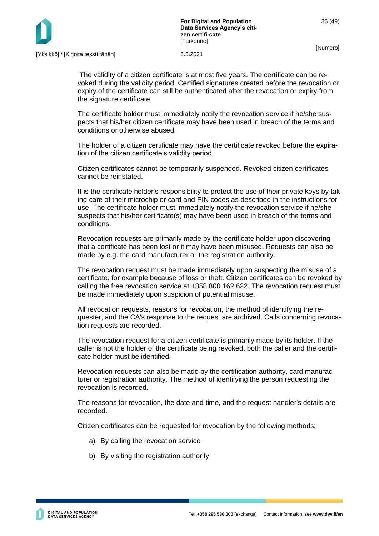

The validity of a citizen certificate is at most five years. The certificate can be revoked during the validity period. Certified signatures created before the revocation or expiry of the certificate can still be authenticated after the revocation or expiry from the signature certificate.

The certificate holder must immediately notify the revocation service if he/she suspects that his/her citizen certificate may have been used in breach of the terms and conditions or otherwise abused.

The holder of a citizen certificate may have the certificate revoked before the expiration of the citizen certificate's validity period.

Citizen certificates cannot be temporarily suspended. Revoked citizen certificates cannot be reinstated.

It is the certificate holder's responsibility to protect the use of their private keys by taking care of their microchip or card and PIN codes as described in the instructions for use. The certificate holder must immediately notify the revocation service if he/she suspects that his/her certificate(s) may have been used in breach of the terms and conditions.

Revocation requests are primarily made by the certificate holder upon discovering that a certificate has been lost or it may have been misused. Requests can also be made by e.g. the card manufacturer or the registration authority.

The revocation request must be made immediately upon suspecting the misuse of a certificate, for example because of loss or theft. Citizen certificates can be revoked by calling the free revocation service at +358 800 162 622. The revocation request must be made immediately upon suspicion of potential misuse.

All revocation requests, reasons for revocation, the method of identifying the requester, and the CA's response to the request are archived. Calls concerning revocation requests are recorded.

The revocation request for a citizen certificate is primarily made by its holder. If the caller is not the holder of the certificate being revoked, both the caller and the certificate holder must be identified.

Revocation requests can also be made by the certification authority, card manufacturer or registration authority. The method of identifying the person requesting the revocation is recorded.

The reasons for revocation, the date and time, and the request handler's details are recorded.

Citizen certificates can be requested for revocation by the following methods:

- a) By calling the revocation service
- b) By visiting the registration authority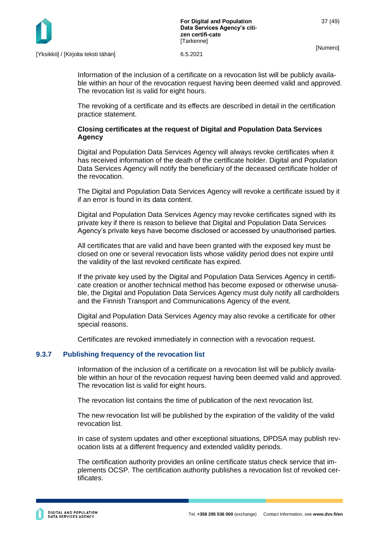

Information of the inclusion of a certificate on a revocation list will be publicly available within an hour of the revocation request having been deemed valid and approved. The revocation list is valid for eight hours.

The revoking of a certificate and its effects are described in detail in the certification practice statement.

### **Closing certificates at the request of Digital and Population Data Services Agency**

Digital and Population Data Services Agency will always revoke certificates when it has received information of the death of the certificate holder. Digital and Population Data Services Agency will notify the beneficiary of the deceased certificate holder of the revocation.

The Digital and Population Data Services Agency will revoke a certificate issued by it if an error is found in its data content.

Digital and Population Data Services Agency may revoke certificates signed with its private key if there is reason to believe that Digital and Population Data Services Agency's private keys have become disclosed or accessed by unauthorised parties.

All certificates that are valid and have been granted with the exposed key must be closed on one or several revocation lists whose validity period does not expire until the validity of the last revoked certificate has expired.

If the private key used by the Digital and Population Data Services Agency in certificate creation or another technical method has become exposed or otherwise unusable, the Digital and Population Data Services Agency must duly notify all cardholders and the Finnish Transport and Communications Agency of the event.

Digital and Population Data Services Agency may also revoke a certificate for other special reasons.

Certificates are revoked immediately in connection with a revocation request.

### <span id="page-37-0"></span>**9.3.7 Publishing frequency of the revocation list**

Information of the inclusion of a certificate on a revocation list will be publicly available within an hour of the revocation request having been deemed valid and approved. The revocation list is valid for eight hours.

The revocation list contains the time of publication of the next revocation list.

The new revocation list will be published by the expiration of the validity of the valid revocation list.

In case of system updates and other exceptional situations, DPDSA may publish revocation lists at a different frequency and extended validity periods.

The certification authority provides an online certificate status check service that implements OCSP. The certification authority publishes a revocation list of revoked certificates.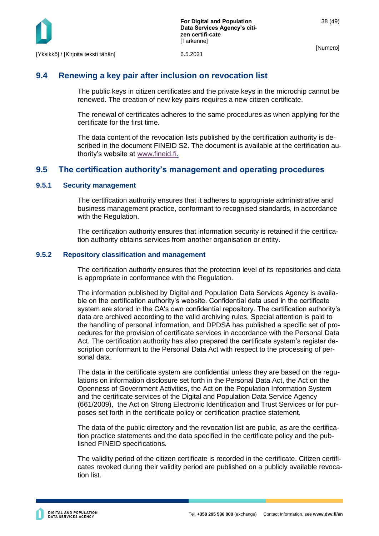

### <span id="page-38-0"></span>**9.4 Renewing a key pair after inclusion on revocation list**

The public keys in citizen certificates and the private keys in the microchip cannot be renewed. The creation of new key pairs requires a new citizen certificate.

The renewal of certificates adheres to the same procedures as when applying for the certificate for the first time.

The data content of the revocation lists published by the certification authority is described in the document FINEID S2. The document is available at the certification authority's website at [www.fineid.fi.](http://www.fineid.fi/)

### <span id="page-38-1"></span>**9.5 The certification authority's management and operating procedures**

#### <span id="page-38-2"></span>**9.5.1 Security management**

The certification authority ensures that it adheres to appropriate administrative and business management practice, conformant to recognised standards, in accordance with the Regulation.

The certification authority ensures that information security is retained if the certification authority obtains services from another organisation or entity.

### <span id="page-38-3"></span>**9.5.2 Repository classification and management**

The certification authority ensures that the protection level of its repositories and data is appropriate in conformance with the Regulation.

The information published by Digital and Population Data Services Agency is available on the certification authority's website. Confidential data used in the certificate system are stored in the CA's own confidential repository. The certification authority's data are archived according to the valid archiving rules. Special attention is paid to the handling of personal information, and DPDSA has published a specific set of procedures for the provision of certificate services in accordance with the Personal Data Act. The certification authority has also prepared the certificate system's register description conformant to the Personal Data Act with respect to the processing of personal data.

The data in the certificate system are confidential unless they are based on the regulations on information disclosure set forth in the Personal Data Act, the Act on the Openness of Government Activities, the Act on the Population Information System and the certificate services of the Digital and Population Data Service Agency (661/2009), the Act on Strong Electronic Identification and Trust Services or for purposes set forth in the certificate policy or certification practice statement.

The data of the public directory and the revocation list are public, as are the certification practice statements and the data specified in the certificate policy and the published FINEID specifications.

The validity period of the citizen certificate is recorded in the certificate. Citizen certificates revoked during their validity period are published on a publicly available revocation list.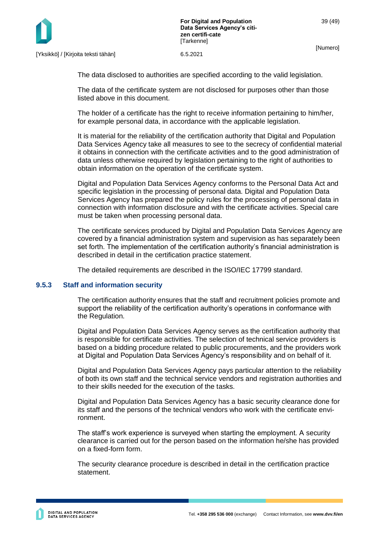

The data disclosed to authorities are specified according to the valid legislation.

The data of the certificate system are not disclosed for purposes other than those listed above in this document.

The holder of a certificate has the right to receive information pertaining to him/her, for example personal data, in accordance with the applicable legislation.

It is material for the reliability of the certification authority that Digital and Population Data Services Agency take all measures to see to the secrecy of confidential material it obtains in connection with the certificate activities and to the good administration of data unless otherwise required by legislation pertaining to the right of authorities to obtain information on the operation of the certificate system.

Digital and Population Data Services Agency conforms to the Personal Data Act and specific legislation in the processing of personal data. Digital and Population Data Services Agency has prepared the policy rules for the processing of personal data in connection with information disclosure and with the certificate activities. Special care must be taken when processing personal data.

The certificate services produced by Digital and Population Data Services Agency are covered by a financial administration system and supervision as has separately been set forth. The implementation of the certification authority's financial administration is described in detail in the certification practice statement.

The detailed requirements are described in the ISO/IEC 17799 standard.

#### <span id="page-39-0"></span>**9.5.3 Staff and information security**

The certification authority ensures that the staff and recruitment policies promote and support the reliability of the certification authority's operations in conformance with the Regulation.

Digital and Population Data Services Agency serves as the certification authority that is responsible for certificate activities. The selection of technical service providers is based on a bidding procedure related to public procurements, and the providers work at Digital and Population Data Services Agency's responsibility and on behalf of it.

Digital and Population Data Services Agency pays particular attention to the reliability of both its own staff and the technical service vendors and registration authorities and to their skills needed for the execution of the tasks.

Digital and Population Data Services Agency has a basic security clearance done for its staff and the persons of the technical vendors who work with the certificate environment.

The staff's work experience is surveyed when starting the employment. A security clearance is carried out for the person based on the information he/she has provided on a fixed-form form.

The security clearance procedure is described in detail in the certification practice statement.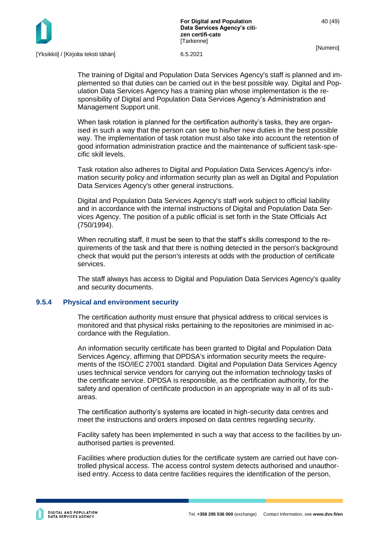

The training of Digital and Population Data Services Agency's staff is planned and implemented so that duties can be carried out in the best possible way. Digital and Population Data Services Agency has a training plan whose implementation is the responsibility of Digital and Population Data Services Agency's Administration and Management Support unit.

When task rotation is planned for the certification authority's tasks, they are organised in such a way that the person can see to his/her new duties in the best possible way. The implementation of task rotation must also take into account the retention of good information administration practice and the maintenance of sufficient task-specific skill levels.

Task rotation also adheres to Digital and Population Data Services Agency's information security policy and information security plan as well as Digital and Population Data Services Agency's other general instructions.

Digital and Population Data Services Agency's staff work subject to official liability and in accordance with the internal instructions of Digital and Population Data Services Agency. The position of a public official is set forth in the State Officials Act (750/1994).

When recruiting staff, it must be seen to that the staff's skills correspond to the requirements of the task and that there is nothing detected in the person's background check that would put the person's interests at odds with the production of certificate services.

The staff always has access to Digital and Population Data Services Agency's quality and security documents.

### <span id="page-40-0"></span>**9.5.4 Physical and environment security**

The certification authority must ensure that physical address to critical services is monitored and that physical risks pertaining to the repositories are minimised in accordance with the Regulation.

An information security certificate has been granted to Digital and Population Data Services Agency, affirming that DPDSA's information security meets the requirements of the ISO/IEC 27001 standard. Digital and Population Data Services Agency uses technical service vendors for carrying out the information technology tasks of the certificate service. DPDSA is responsible, as the certification authority, for the safety and operation of certificate production in an appropriate way in all of its subareas.

The certification authority's systems are located in high-security data centres and meet the instructions and orders imposed on data centres regarding security.

Facility safety has been implemented in such a way that access to the facilities by unauthorised parties is prevented.

Facilities where production duties for the certificate system are carried out have controlled physical access. The access control system detects authorised and unauthorised entry. Access to data centre facilities requires the identification of the person,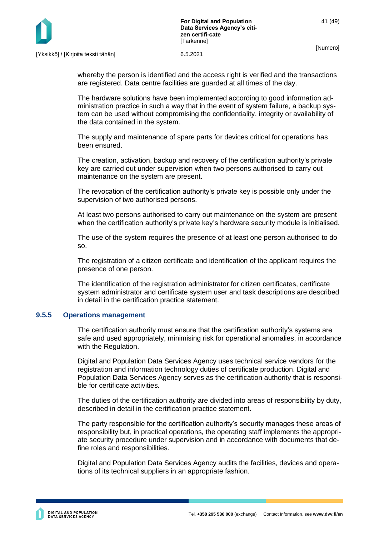

whereby the person is identified and the access right is verified and the transactions are registered. Data centre facilities are guarded at all times of the day.

The hardware solutions have been implemented according to good information administration practice in such a way that in the event of system failure, a backup system can be used without compromising the confidentiality, integrity or availability of the data contained in the system.

The supply and maintenance of spare parts for devices critical for operations has been ensured.

The creation, activation, backup and recovery of the certification authority's private key are carried out under supervision when two persons authorised to carry out maintenance on the system are present.

The revocation of the certification authority's private key is possible only under the supervision of two authorised persons.

At least two persons authorised to carry out maintenance on the system are present when the certification authority's private key's hardware security module is initialised.

The use of the system requires the presence of at least one person authorised to do so.

The registration of a citizen certificate and identification of the applicant requires the presence of one person.

The identification of the registration administrator for citizen certificates, certificate system administrator and certificate system user and task descriptions are described in detail in the certification practice statement.

#### <span id="page-41-0"></span>**9.5.5 Operations management**

The certification authority must ensure that the certification authority's systems are safe and used appropriately, minimising risk for operational anomalies, in accordance with the Regulation.

Digital and Population Data Services Agency uses technical service vendors for the registration and information technology duties of certificate production. Digital and Population Data Services Agency serves as the certification authority that is responsible for certificate activities.

The duties of the certification authority are divided into areas of responsibility by duty, described in detail in the certification practice statement.

The party responsible for the certification authority's security manages these areas of responsibility but, in practical operations, the operating staff implements the appropriate security procedure under supervision and in accordance with documents that define roles and responsibilities.

Digital and Population Data Services Agency audits the facilities, devices and operations of its technical suppliers in an appropriate fashion.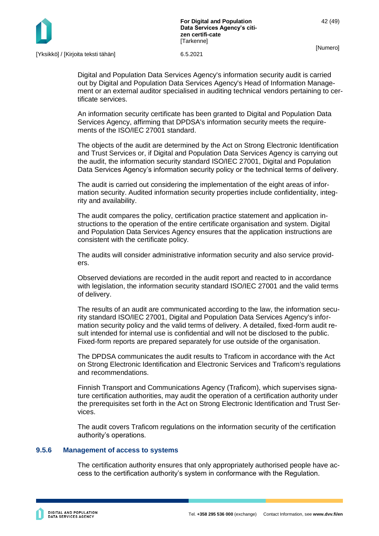

Digital and Population Data Services Agency's information security audit is carried out by Digital and Population Data Services Agency's Head of Information Management or an external auditor specialised in auditing technical vendors pertaining to certificate services.

An information security certificate has been granted to Digital and Population Data Services Agency, affirming that DPDSA's information security meets the requirements of the ISO/IEC 27001 standard.

The objects of the audit are determined by the Act on Strong Electronic Identification and Trust Services or, if Digital and Population Data Services Agency is carrying out the audit, the information security standard ISO/IEC 27001, Digital and Population Data Services Agency's information security policy or the technical terms of delivery.

The audit is carried out considering the implementation of the eight areas of information security. Audited information security properties include confidentiality, integrity and availability.

The audit compares the policy, certification practice statement and application instructions to the operation of the entire certificate organisation and system. Digital and Population Data Services Agency ensures that the application instructions are consistent with the certificate policy.

The audits will consider administrative information security and also service providers.

Observed deviations are recorded in the audit report and reacted to in accordance with legislation, the information security standard ISO/IEC 27001 and the valid terms of delivery.

The results of an audit are communicated according to the law, the information security standard ISO/IEC 27001, Digital and Population Data Services Agency's information security policy and the valid terms of delivery. A detailed, fixed-form audit result intended for internal use is confidential and will not be disclosed to the public. Fixed-form reports are prepared separately for use outside of the organisation.

The DPDSA communicates the audit results to Traficom in accordance with the Act on Strong Electronic Identification and Electronic Services and Traficom's regulations and recommendations.

Finnish Transport and Communications Agency (Traficom), which supervises signature certification authorities, may audit the operation of a certification authority under the prerequisites set forth in the Act on Strong Electronic Identification and Trust Services.

The audit covers Traficom regulations on the information security of the certification authority's operations.

### <span id="page-42-0"></span>**9.5.6 Management of access to systems**

The certification authority ensures that only appropriately authorised people have access to the certification authority's system in conformance with the Regulation.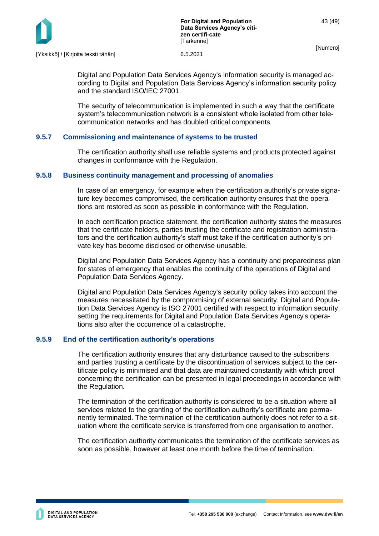

Digital and Population Data Services Agency's information security is managed according to Digital and Population Data Services Agency's information security policy and the standard ISO/IEC 27001.

The security of telecommunication is implemented in such a way that the certificate system's telecommunication network is a consistent whole isolated from other telecommunication networks and has doubled critical components.

### <span id="page-43-0"></span>**9.5.7 Commissioning and maintenance of systems to be trusted**

The certification authority shall use reliable systems and products protected against changes in conformance with the Regulation.

### <span id="page-43-1"></span>**9.5.8 Business continuity management and processing of anomalies**

In case of an emergency, for example when the certification authority's private signature key becomes compromised, the certification authority ensures that the operations are restored as soon as possible in conformance with the Regulation.

In each certification practice statement, the certification authority states the measures that the certificate holders, parties trusting the certificate and registration administrators and the certification authority's staff must take if the certification authority's private key has become disclosed or otherwise unusable.

Digital and Population Data Services Agency has a continuity and preparedness plan for states of emergency that enables the continuity of the operations of Digital and Population Data Services Agency.

Digital and Population Data Services Agency's security policy takes into account the measures necessitated by the compromising of external security. Digital and Population Data Services Agency is ISO 27001 certified with respect to information security, setting the requirements for Digital and Population Data Services Agency's operations also after the occurrence of a catastrophe.

### <span id="page-43-2"></span>**9.5.9 End of the certification authority's operations**

The certification authority ensures that any disturbance caused to the subscribers and parties trusting a certificate by the discontinuation of services subject to the certificate policy is minimised and that data are maintained constantly with which proof concerning the certification can be presented in legal proceedings in accordance with the Regulation.

The termination of the certification authority is considered to be a situation where all services related to the granting of the certification authority's certificate are permanently terminated. The termination of the certification authority does not refer to a situation where the certificate service is transferred from one organisation to another.

The certification authority communicates the termination of the certificate services as soon as possible, however at least one month before the time of termination.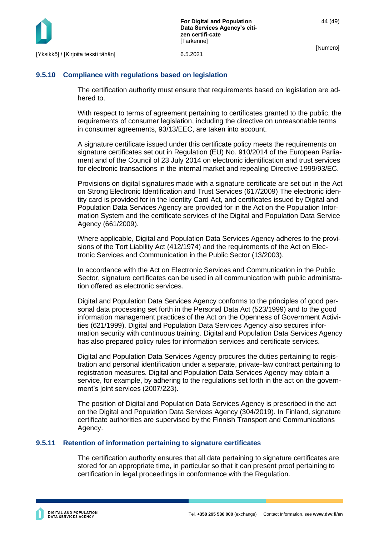

### <span id="page-44-0"></span>**9.5.10 Compliance with regulations based on legislation**

The certification authority must ensure that requirements based on legislation are adhered to.

With respect to terms of agreement pertaining to certificates granted to the public, the requirements of consumer legislation, including the directive on unreasonable terms in consumer agreements, 93/13/EEC, are taken into account.

A signature certificate issued under this certificate policy meets the requirements on signature certificates set out in Regulation (EU) No. 910/2014 of the European Parliament and of the Council of 23 July 2014 on electronic identification and trust services for electronic transactions in the internal market and repealing Directive 1999/93/EC.

Provisions on digital signatures made with a signature certificate are set out in the Act on Strong Electronic Identification and Trust Services (617/2009) The electronic identity card is provided for in the Identity Card Act, and certificates issued by Digital and Population Data Services Agency are provided for in the Act on the Population Information System and the certificate services of the Digital and Population Data Service Agency (661/2009).

Where applicable, Digital and Population Data Services Agency adheres to the provisions of the Tort Liability Act (412/1974) and the requirements of the Act on Electronic Services and Communication in the Public Sector (13/2003).

In accordance with the Act on Electronic Services and Communication in the Public Sector, signature certificates can be used in all communication with public administration offered as electronic services.

Digital and Population Data Services Agency conforms to the principles of good personal data processing set forth in the Personal Data Act (523/1999) and to the good information management practices of the Act on the Openness of Government Activities (621/1999). Digital and Population Data Services Agency also secures information security with continuous training. Digital and Population Data Services Agency has also prepared policy rules for information services and certificate services.

Digital and Population Data Services Agency procures the duties pertaining to registration and personal identification under a separate, private-law contract pertaining to registration measures. Digital and Population Data Services Agency may obtain a service, for example, by adhering to the regulations set forth in the act on the government's joint services (2007/223).

The position of Digital and Population Data Services Agency is prescribed in the act on the Digital and Population Data Services Agency (304/2019). In Finland, signature certificate authorities are supervised by the Finnish Transport and Communications Agency.

### <span id="page-44-1"></span>**9.5.11 Retention of information pertaining to signature certificates**

The certification authority ensures that all data pertaining to signature certificates are stored for an appropriate time, in particular so that it can present proof pertaining to certification in legal proceedings in conformance with the Regulation.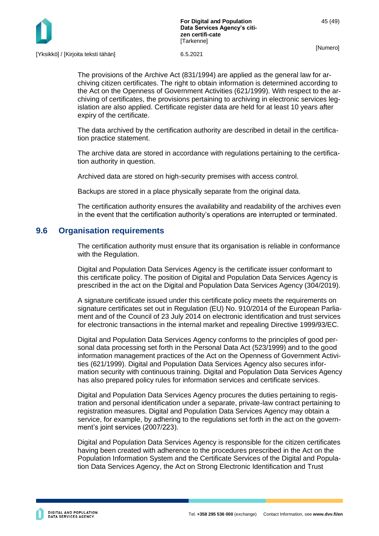

The provisions of the Archive Act (831/1994) are applied as the general law for archiving citizen certificates. The right to obtain information is determined according to the Act on the Openness of Government Activities (621/1999). With respect to the archiving of certificates, the provisions pertaining to archiving in electronic services legislation are also applied. Certificate register data are held for at least 10 years after expiry of the certificate.

The data archived by the certification authority are described in detail in the certification practice statement.

The archive data are stored in accordance with regulations pertaining to the certification authority in question.

Archived data are stored on high-security premises with access control.

Backups are stored in a place physically separate from the original data.

The certification authority ensures the availability and readability of the archives even in the event that the certification authority's operations are interrupted or terminated.

### <span id="page-45-0"></span>**9.6 Organisation requirements**

The certification authority must ensure that its organisation is reliable in conformance with the Regulation.

Digital and Population Data Services Agency is the certificate issuer conformant to this certificate policy. The position of Digital and Population Data Services Agency is prescribed in the act on the Digital and Population Data Services Agency (304/2019).

A signature certificate issued under this certificate policy meets the requirements on signature certificates set out in Regulation (EU) No. 910/2014 of the European Parliament and of the Council of 23 July 2014 on electronic identification and trust services for electronic transactions in the internal market and repealing Directive 1999/93/EC.

Digital and Population Data Services Agency conforms to the principles of good personal data processing set forth in the Personal Data Act (523/1999) and to the good information management practices of the Act on the Openness of Government Activities (621/1999). Digital and Population Data Services Agency also secures information security with continuous training. Digital and Population Data Services Agency has also prepared policy rules for information services and certificate services.

Digital and Population Data Services Agency procures the duties pertaining to registration and personal identification under a separate, private-law contract pertaining to registration measures. Digital and Population Data Services Agency may obtain a service, for example, by adhering to the regulations set forth in the act on the government's joint services (2007/223).

Digital and Population Data Services Agency is responsible for the citizen certificates having been created with adherence to the procedures prescribed in the Act on the Population Information System and the Certificate Services of the Digital and Population Data Services Agency, the Act on Strong Electronic Identification and Trust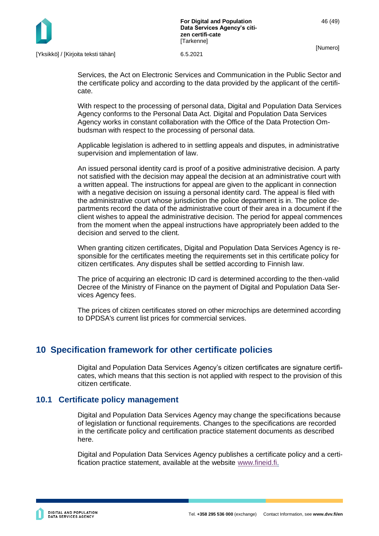

Services, the Act on Electronic Services and Communication in the Public Sector and the certificate policy and according to the data provided by the applicant of the certificate.

With respect to the processing of personal data, Digital and Population Data Services Agency conforms to the Personal Data Act. Digital and Population Data Services Agency works in constant collaboration with the Office of the Data Protection Ombudsman with respect to the processing of personal data.

Applicable legislation is adhered to in settling appeals and disputes, in administrative supervision and implementation of law.

An issued personal identity card is proof of a positive administrative decision. A party not satisfied with the decision may appeal the decision at an administrative court with a written appeal. The instructions for appeal are given to the applicant in connection with a negative decision on issuing a personal identity card. The appeal is filed with the administrative court whose jurisdiction the police department is in. The police departments record the data of the administrative court of their area in a document if the client wishes to appeal the administrative decision. The period for appeal commences from the moment when the appeal instructions have appropriately been added to the decision and served to the client.

When granting citizen certificates, Digital and Population Data Services Agency is responsible for the certificates meeting the requirements set in this certificate policy for citizen certificates. Any disputes shall be settled according to Finnish law.

The price of acquiring an electronic ID card is determined according to the then-valid Decree of the Ministry of Finance on the payment of Digital and Population Data Services Agency fees.

The prices of citizen certificates stored on other microchips are determined according to DPDSA's current list prices for commercial services.

### <span id="page-46-0"></span>**10 Specification framework for other certificate policies**

Digital and Population Data Services Agency's citizen certificates are signature certificates, which means that this section is not applied with respect to the provision of this citizen certificate.

### <span id="page-46-1"></span>**10.1 Certificate policy management**

Digital and Population Data Services Agency may change the specifications because of legislation or functional requirements. Changes to the specifications are recorded in the certificate policy and certification practice statement documents as described here.

Digital and Population Data Services Agency publishes a certificate policy and a certification practice statement, available at the website [www.fineid.fi.](http://www.fineid.fi/)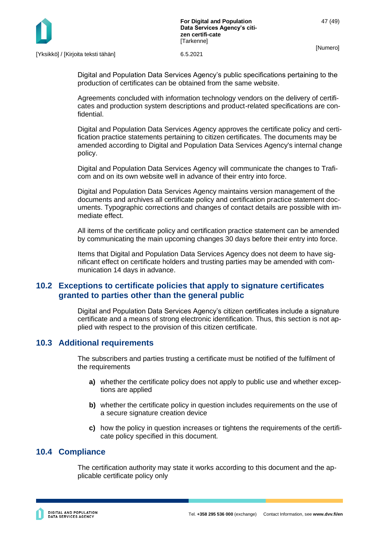

Digital and Population Data Services Agency's public specifications pertaining to the production of certificates can be obtained from the same website.

Agreements concluded with information technology vendors on the delivery of certificates and production system descriptions and product-related specifications are confidential.

Digital and Population Data Services Agency approves the certificate policy and certification practice statements pertaining to citizen certificates. The documents may be amended according to Digital and Population Data Services Agency's internal change policy.

Digital and Population Data Services Agency will communicate the changes to Traficom and on its own website well in advance of their entry into force.

Digital and Population Data Services Agency maintains version management of the documents and archives all certificate policy and certification practice statement documents. Typographic corrections and changes of contact details are possible with immediate effect.

All items of the certificate policy and certification practice statement can be amended by communicating the main upcoming changes 30 days before their entry into force.

Items that Digital and Population Data Services Agency does not deem to have significant effect on certificate holders and trusting parties may be amended with communication 14 days in advance.

### <span id="page-47-0"></span>**10.2 Exceptions to certificate policies that apply to signature certificates granted to parties other than the general public**

Digital and Population Data Services Agency's citizen certificates include a signature certificate and a means of strong electronic identification. Thus, this section is not applied with respect to the provision of this citizen certificate.

### <span id="page-47-1"></span>**10.3 Additional requirements**

The subscribers and parties trusting a certificate must be notified of the fulfilment of the requirements

- **a)** whether the certificate policy does not apply to public use and whether exceptions are applied
- **b)** whether the certificate policy in question includes requirements on the use of a secure signature creation device
- **c)** how the policy in question increases or tightens the requirements of the certificate policy specified in this document.

### <span id="page-47-2"></span>**10.4 Compliance**

The certification authority may state it works according to this document and the applicable certificate policy only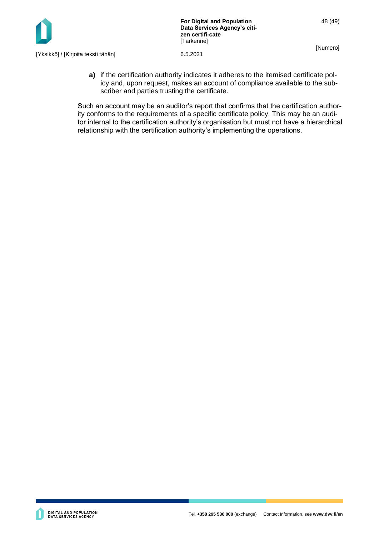

[Yksikkö] / [Kirjoita teksti tähän] 6.5.2021

**a)** if the certification authority indicates it adheres to the itemised certificate policy and, upon request, makes an account of compliance available to the subscriber and parties trusting the certificate.

Such an account may be an auditor's report that confirms that the certification authority conforms to the requirements of a specific certificate policy. This may be an auditor internal to the certification authority's organisation but must not have a hierarchical relationship with the certification authority's implementing the operations.